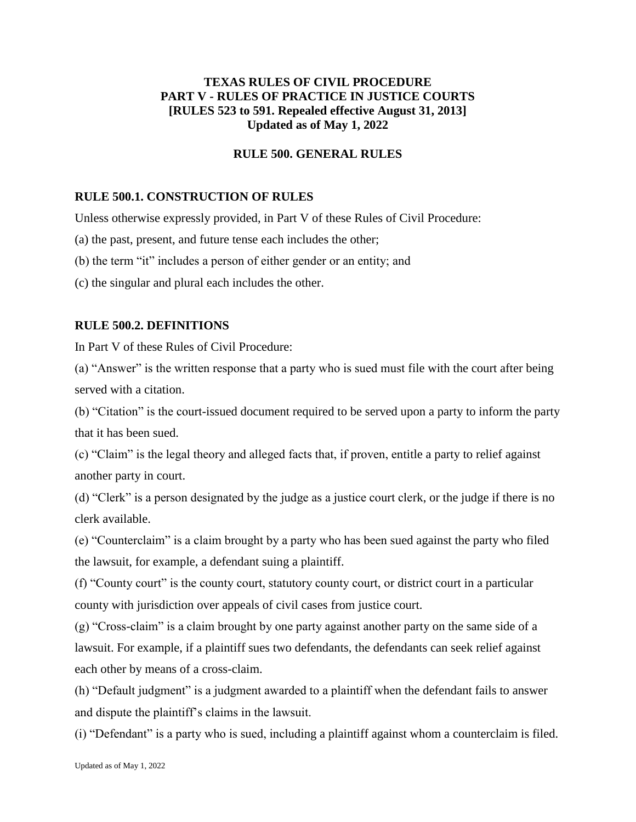# **TEXAS RULES OF CIVIL PROCEDURE PART V - RULES OF PRACTICE IN JUSTICE COURTS [RULES 523 to 591. Repealed effective August 31, 2013] Updated as of May 1, 2022**

### **RULE 500. GENERAL RULES**

# **RULE 500.1. CONSTRUCTION OF RULES**

Unless otherwise expressly provided, in Part V of these Rules of Civil Procedure:

- (a) the past, present, and future tense each includes the other;
- (b) the term "it" includes a person of either gender or an entity; and
- (c) the singular and plural each includes the other.

### **RULE 500.2. DEFINITIONS**

In Part V of these Rules of Civil Procedure:

(a) "Answer" is the written response that a party who is sued must file with the court after being served with a citation.

(b) "Citation" is the court-issued document required to be served upon a party to inform the party that it has been sued.

(c) "Claim" is the legal theory and alleged facts that, if proven, entitle a party to relief against another party in court.

(d) "Clerk" is a person designated by the judge as a justice court clerk, or the judge if there is no clerk available.

(e) "Counterclaim" is a claim brought by a party who has been sued against the party who filed the lawsuit, for example, a defendant suing a plaintiff.

(f) "County court" is the county court, statutory county court, or district court in a particular county with jurisdiction over appeals of civil cases from justice court.

(g) "Cross-claim" is a claim brought by one party against another party on the same side of a lawsuit. For example, if a plaintiff sues two defendants, the defendants can seek relief against each other by means of a cross-claim.

(h) "Default judgment" is a judgment awarded to a plaintiff when the defendant fails to answer and dispute the plaintiff's claims in the lawsuit.

(i) "Defendant" is a party who is sued, including a plaintiff against whom a counterclaim is filed.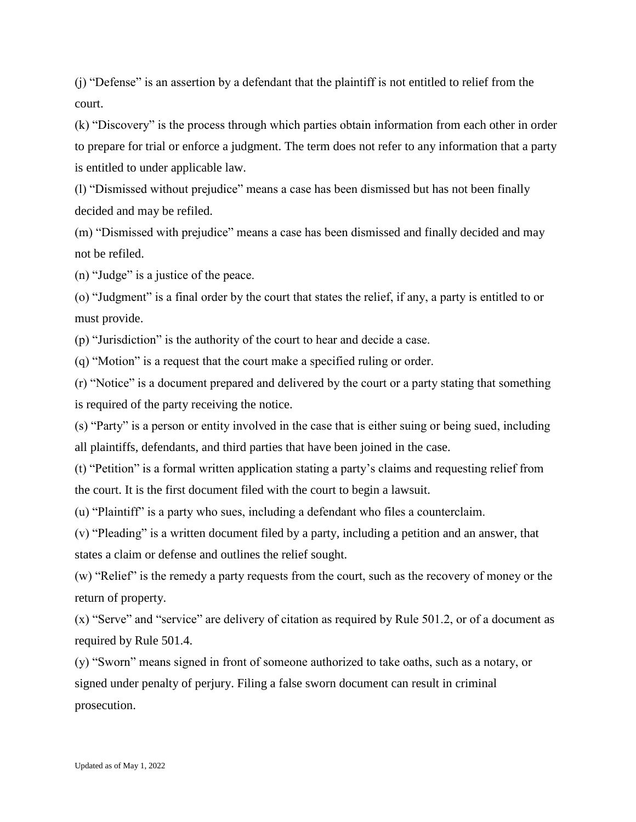(j) "Defense" is an assertion by a defendant that the plaintiff is not entitled to relief from the court.

(k) "Discovery" is the process through which parties obtain information from each other in order to prepare for trial or enforce a judgment. The term does not refer to any information that a party is entitled to under applicable law.

(l) "Dismissed without prejudice" means a case has been dismissed but has not been finally decided and may be refiled.

(m) "Dismissed with prejudice" means a case has been dismissed and finally decided and may not be refiled.

(n) "Judge" is a justice of the peace.

(o) "Judgment" is a final order by the court that states the relief, if any, a party is entitled to or must provide.

(p) "Jurisdiction" is the authority of the court to hear and decide a case.

(q) "Motion" is a request that the court make a specified ruling or order.

(r) "Notice" is a document prepared and delivered by the court or a party stating that something is required of the party receiving the notice.

(s) "Party" is a person or entity involved in the case that is either suing or being sued, including all plaintiffs, defendants, and third parties that have been joined in the case.

(t) "Petition" is a formal written application stating a party's claims and requesting relief from the court. It is the first document filed with the court to begin a lawsuit.

(u) "Plaintiff" is a party who sues, including a defendant who files a counterclaim.

(v) "Pleading" is a written document filed by a party, including a petition and an answer, that states a claim or defense and outlines the relief sought.

(w) "Relief" is the remedy a party requests from the court, such as the recovery of money or the return of property.

(x) "Serve" and "service" are delivery of citation as required by Rule 501.2, or of a document as required by Rule 501.4.

(y) "Sworn" means signed in front of someone authorized to take oaths, such as a notary, or signed under penalty of perjury. Filing a false sworn document can result in criminal prosecution.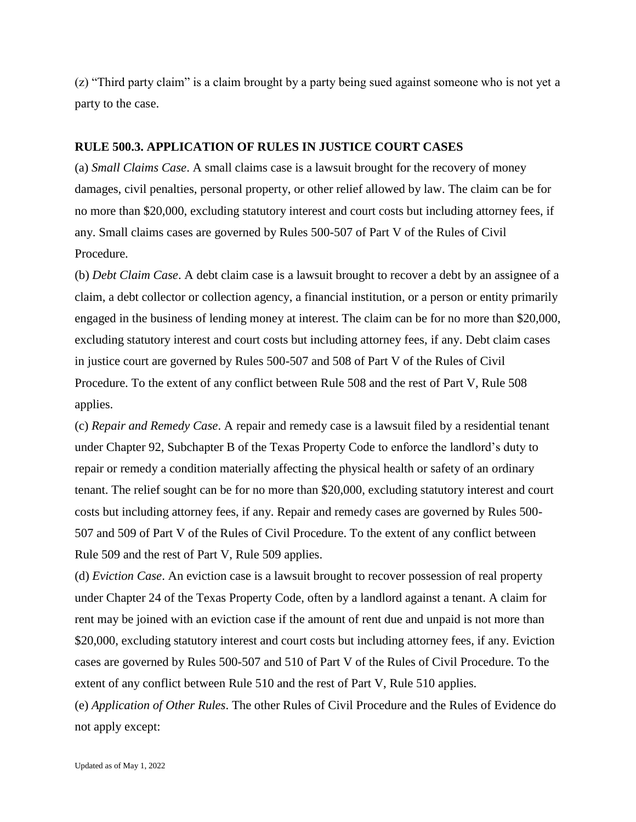(z) "Third party claim" is a claim brought by a party being sued against someone who is not yet a party to the case.

#### **RULE 500.3. APPLICATION OF RULES IN JUSTICE COURT CASES**

(a) *Small Claims Case*. A small claims case is a lawsuit brought for the recovery of money damages, civil penalties, personal property, or other relief allowed by law. The claim can be for no more than \$20,000, excluding statutory interest and court costs but including attorney fees, if any. Small claims cases are governed by Rules 500-507 of Part V of the Rules of Civil Procedure.

(b) *Debt Claim Case*. A debt claim case is a lawsuit brought to recover a debt by an assignee of a claim, a debt collector or collection agency, a financial institution, or a person or entity primarily engaged in the business of lending money at interest. The claim can be for no more than \$20,000, excluding statutory interest and court costs but including attorney fees, if any. Debt claim cases in justice court are governed by Rules 500-507 and 508 of Part V of the Rules of Civil Procedure. To the extent of any conflict between Rule 508 and the rest of Part V, Rule 508 applies.

(c) *Repair and Remedy Case*. A repair and remedy case is a lawsuit filed by a residential tenant under Chapter 92, Subchapter B of the Texas Property Code to enforce the landlord's duty to repair or remedy a condition materially affecting the physical health or safety of an ordinary tenant. The relief sought can be for no more than \$20,000, excluding statutory interest and court costs but including attorney fees, if any. Repair and remedy cases are governed by Rules 500- 507 and 509 of Part V of the Rules of Civil Procedure. To the extent of any conflict between Rule 509 and the rest of Part V, Rule 509 applies.

(d) *Eviction Case*. An eviction case is a lawsuit brought to recover possession of real property under Chapter 24 of the Texas Property Code, often by a landlord against a tenant. A claim for rent may be joined with an eviction case if the amount of rent due and unpaid is not more than \$20,000, excluding statutory interest and court costs but including attorney fees, if any. Eviction cases are governed by Rules 500-507 and 510 of Part V of the Rules of Civil Procedure. To the extent of any conflict between Rule 510 and the rest of Part V, Rule 510 applies.

(e) *Application of Other Rules*. The other Rules of Civil Procedure and the Rules of Evidence do not apply except: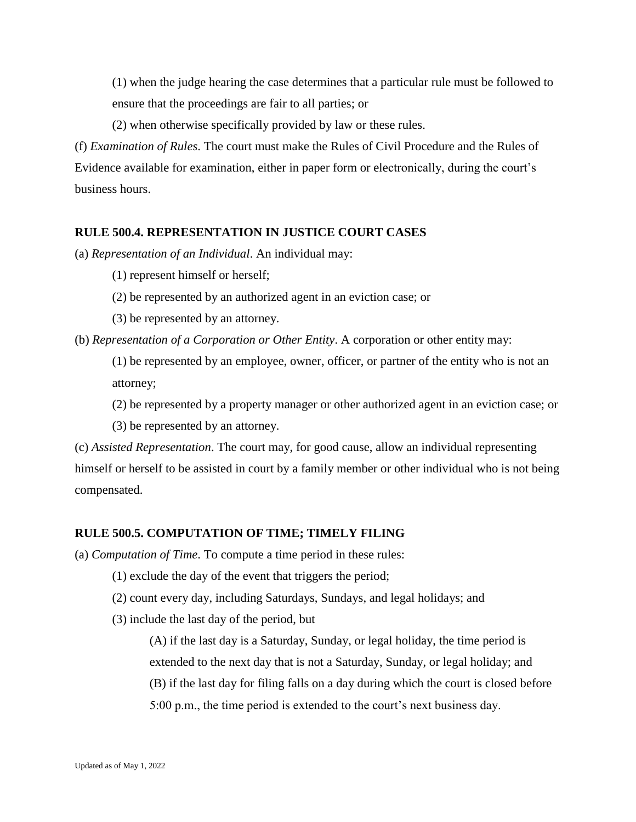(1) when the judge hearing the case determines that a particular rule must be followed to ensure that the proceedings are fair to all parties; or

(2) when otherwise specifically provided by law or these rules.

(f) *Examination of Rules*. The court must make the Rules of Civil Procedure and the Rules of Evidence available for examination, either in paper form or electronically, during the court's business hours.

# **RULE 500.4. REPRESENTATION IN JUSTICE COURT CASES**

(a) *Representation of an Individual*. An individual may:

(1) represent himself or herself;

- (2) be represented by an authorized agent in an eviction case; or
- (3) be represented by an attorney.

(b) *Representation of a Corporation or Other Entity*. A corporation or other entity may:

(1) be represented by an employee, owner, officer, or partner of the entity who is not an attorney;

(2) be represented by a property manager or other authorized agent in an eviction case; or

(3) be represented by an attorney.

(c) *Assisted Representation*. The court may, for good cause, allow an individual representing himself or herself to be assisted in court by a family member or other individual who is not being compensated.

# **RULE 500.5. COMPUTATION OF TIME; TIMELY FILING**

(a) *Computation of Time*. To compute a time period in these rules:

- (1) exclude the day of the event that triggers the period;
- (2) count every day, including Saturdays, Sundays, and legal holidays; and
- (3) include the last day of the period, but

(A) if the last day is a Saturday, Sunday, or legal holiday, the time period is extended to the next day that is not a Saturday, Sunday, or legal holiday; and (B) if the last day for filing falls on a day during which the court is closed before 5:00 p.m., the time period is extended to the court's next business day.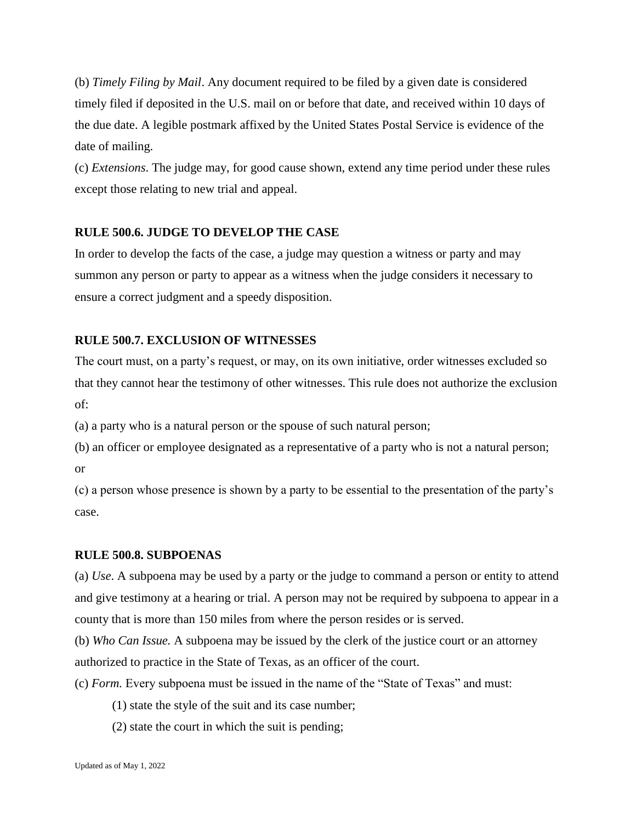(b) *Timely Filing by Mail*. Any document required to be filed by a given date is considered timely filed if deposited in the U.S. mail on or before that date, and received within 10 days of the due date. A legible postmark affixed by the United States Postal Service is evidence of the date of mailing.

(c) *Extensions*. The judge may, for good cause shown, extend any time period under these rules except those relating to new trial and appeal.

# **RULE 500.6. JUDGE TO DEVELOP THE CASE**

In order to develop the facts of the case, a judge may question a witness or party and may summon any person or party to appear as a witness when the judge considers it necessary to ensure a correct judgment and a speedy disposition.

# **RULE 500.7. EXCLUSION OF WITNESSES**

The court must, on a party's request, or may, on its own initiative, order witnesses excluded so that they cannot hear the testimony of other witnesses. This rule does not authorize the exclusion of:

(a) a party who is a natural person or the spouse of such natural person;

(b) an officer or employee designated as a representative of a party who is not a natural person; or

(c) a person whose presence is shown by a party to be essential to the presentation of the party's case.

# **RULE 500.8. SUBPOENAS**

(a) *Use*. A subpoena may be used by a party or the judge to command a person or entity to attend and give testimony at a hearing or trial. A person may not be required by subpoena to appear in a county that is more than 150 miles from where the person resides or is served.

(b) *Who Can Issue.* A subpoena may be issued by the clerk of the justice court or an attorney authorized to practice in the State of Texas, as an officer of the court.

(c) *Form.* Every subpoena must be issued in the name of the "State of Texas" and must:

- (1) state the style of the suit and its case number;
- (2) state the court in which the suit is pending;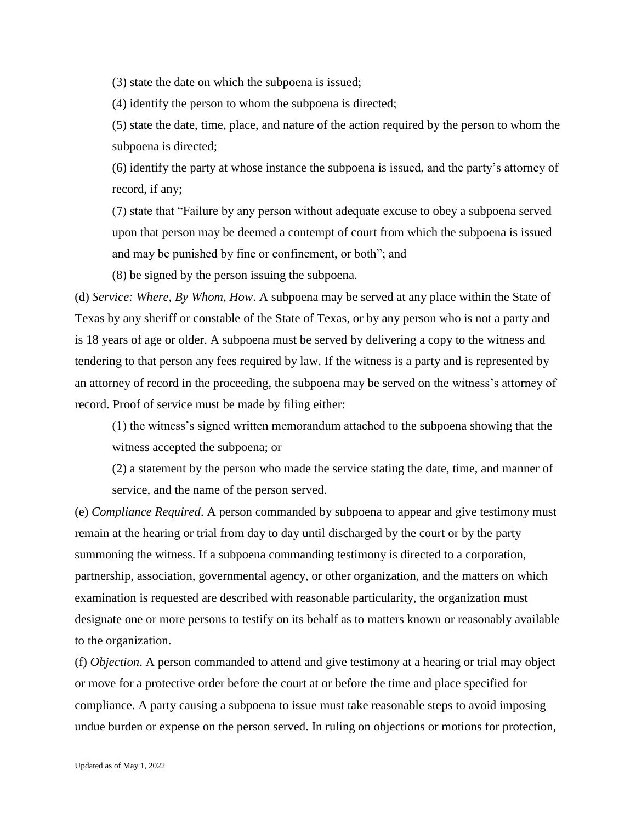(3) state the date on which the subpoena is issued;

(4) identify the person to whom the subpoena is directed;

(5) state the date, time, place, and nature of the action required by the person to whom the subpoena is directed;

(6) identify the party at whose instance the subpoena is issued, and the party's attorney of record, if any;

(7) state that "Failure by any person without adequate excuse to obey a subpoena served upon that person may be deemed a contempt of court from which the subpoena is issued and may be punished by fine or confinement, or both"; and

(8) be signed by the person issuing the subpoena.

(d) *Service: Where, By Whom, How*. A subpoena may be served at any place within the State of Texas by any sheriff or constable of the State of Texas, or by any person who is not a party and is 18 years of age or older. A subpoena must be served by delivering a copy to the witness and tendering to that person any fees required by law. If the witness is a party and is represented by an attorney of record in the proceeding, the subpoena may be served on the witness's attorney of record. Proof of service must be made by filing either:

(1) the witness's signed written memorandum attached to the subpoena showing that the witness accepted the subpoena; or

(2) a statement by the person who made the service stating the date, time, and manner of service, and the name of the person served.

(e) *Compliance Required*. A person commanded by subpoena to appear and give testimony must remain at the hearing or trial from day to day until discharged by the court or by the party summoning the witness. If a subpoena commanding testimony is directed to a corporation, partnership, association, governmental agency, or other organization, and the matters on which examination is requested are described with reasonable particularity, the organization must designate one or more persons to testify on its behalf as to matters known or reasonably available to the organization.

(f) *Objection*. A person commanded to attend and give testimony at a hearing or trial may object or move for a protective order before the court at or before the time and place specified for compliance. A party causing a subpoena to issue must take reasonable steps to avoid imposing undue burden or expense on the person served. In ruling on objections or motions for protection,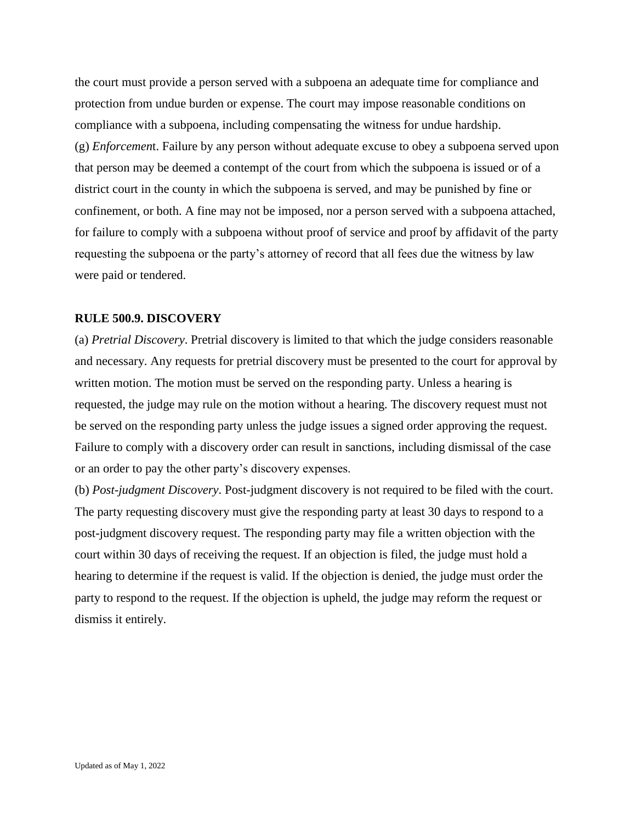the court must provide a person served with a subpoena an adequate time for compliance and protection from undue burden or expense. The court may impose reasonable conditions on compliance with a subpoena, including compensating the witness for undue hardship. (g) *Enforcemen*t. Failure by any person without adequate excuse to obey a subpoena served upon that person may be deemed a contempt of the court from which the subpoena is issued or of a district court in the county in which the subpoena is served, and may be punished by fine or confinement, or both. A fine may not be imposed, nor a person served with a subpoena attached, for failure to comply with a subpoena without proof of service and proof by affidavit of the party requesting the subpoena or the party's attorney of record that all fees due the witness by law were paid or tendered.

#### **RULE 500.9. DISCOVERY**

(a) *Pretrial Discovery*. Pretrial discovery is limited to that which the judge considers reasonable and necessary. Any requests for pretrial discovery must be presented to the court for approval by written motion. The motion must be served on the responding party. Unless a hearing is requested, the judge may rule on the motion without a hearing. The discovery request must not be served on the responding party unless the judge issues a signed order approving the request. Failure to comply with a discovery order can result in sanctions, including dismissal of the case or an order to pay the other party's discovery expenses.

(b) *Post-judgment Discovery*. Post-judgment discovery is not required to be filed with the court. The party requesting discovery must give the responding party at least 30 days to respond to a post-judgment discovery request. The responding party may file a written objection with the court within 30 days of receiving the request. If an objection is filed, the judge must hold a hearing to determine if the request is valid. If the objection is denied, the judge must order the party to respond to the request. If the objection is upheld, the judge may reform the request or dismiss it entirely.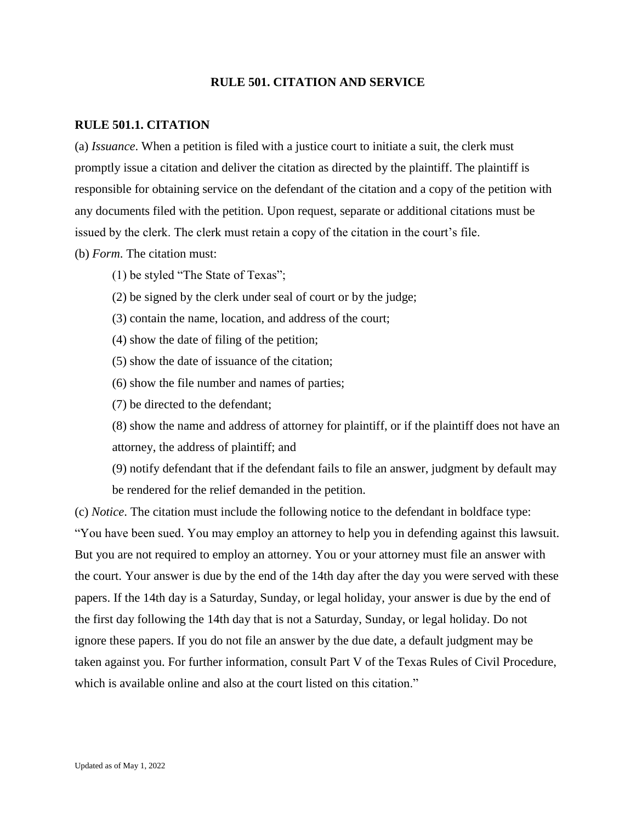### **RULE 501. CITATION AND SERVICE**

### **RULE 501.1. CITATION**

(a) *Issuance*. When a petition is filed with a justice court to initiate a suit, the clerk must promptly issue a citation and deliver the citation as directed by the plaintiff. The plaintiff is responsible for obtaining service on the defendant of the citation and a copy of the petition with any documents filed with the petition. Upon request, separate or additional citations must be issued by the clerk. The clerk must retain a copy of the citation in the court's file. (b) *Form*. The citation must:

- (1) be styled "The State of Texas";
- (2) be signed by the clerk under seal of court or by the judge;
- (3) contain the name, location, and address of the court;
- (4) show the date of filing of the petition;
- (5) show the date of issuance of the citation;
- (6) show the file number and names of parties;
- (7) be directed to the defendant;

(8) show the name and address of attorney for plaintiff, or if the plaintiff does not have an attorney, the address of plaintiff; and

(9) notify defendant that if the defendant fails to file an answer, judgment by default may be rendered for the relief demanded in the petition.

(c) *Notice*. The citation must include the following notice to the defendant in boldface type: "You have been sued. You may employ an attorney to help you in defending against this lawsuit. But you are not required to employ an attorney. You or your attorney must file an answer with the court. Your answer is due by the end of the 14th day after the day you were served with these papers. If the 14th day is a Saturday, Sunday, or legal holiday, your answer is due by the end of the first day following the 14th day that is not a Saturday, Sunday, or legal holiday. Do not ignore these papers. If you do not file an answer by the due date, a default judgment may be taken against you. For further information, consult Part V of the Texas Rules of Civil Procedure, which is available online and also at the court listed on this citation."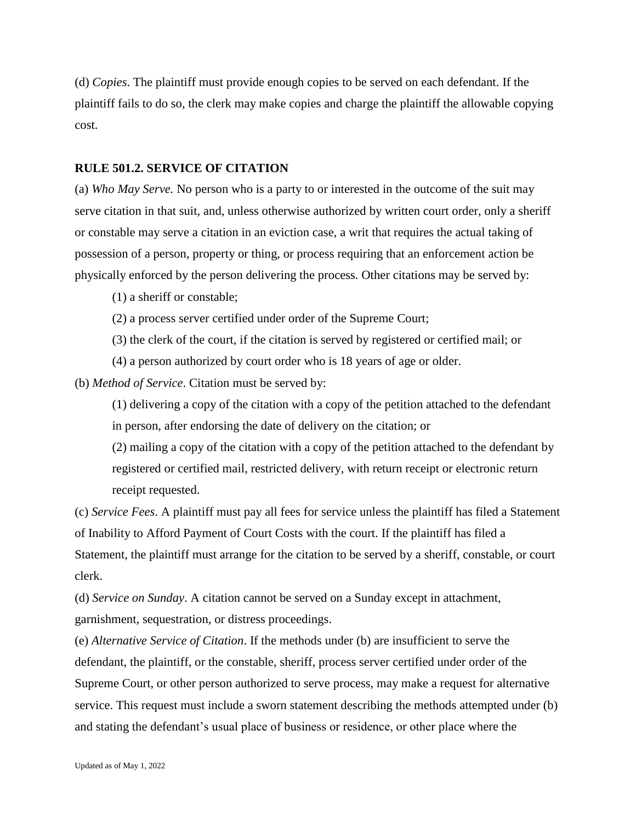(d) *Copies*. The plaintiff must provide enough copies to be served on each defendant. If the plaintiff fails to do so, the clerk may make copies and charge the plaintiff the allowable copying cost.

#### **RULE 501.2. SERVICE OF CITATION**

(a) *Who May Serve.* No person who is a party to or interested in the outcome of the suit may serve citation in that suit, and, unless otherwise authorized by written court order, only a sheriff or constable may serve a citation in an eviction case, a writ that requires the actual taking of possession of a person, property or thing, or process requiring that an enforcement action be physically enforced by the person delivering the process. Other citations may be served by:

(1) a sheriff or constable;

(2) a process server certified under order of the Supreme Court;

(3) the clerk of the court, if the citation is served by registered or certified mail; or

(4) a person authorized by court order who is 18 years of age or older.

(b) *Method of Service*. Citation must be served by:

(1) delivering a copy of the citation with a copy of the petition attached to the defendant in person, after endorsing the date of delivery on the citation; or

(2) mailing a copy of the citation with a copy of the petition attached to the defendant by registered or certified mail, restricted delivery, with return receipt or electronic return receipt requested.

(c) *Service Fees*. A plaintiff must pay all fees for service unless the plaintiff has filed a Statement of Inability to Afford Payment of Court Costs with the court. If the plaintiff has filed a Statement, the plaintiff must arrange for the citation to be served by a sheriff, constable, or court clerk.

(d) *Service on Sunday*. A citation cannot be served on a Sunday except in attachment, garnishment, sequestration, or distress proceedings.

(e) *Alternative Service of Citation*. If the methods under (b) are insufficient to serve the defendant, the plaintiff, or the constable, sheriff, process server certified under order of the Supreme Court, or other person authorized to serve process, may make a request for alternative service. This request must include a sworn statement describing the methods attempted under (b) and stating the defendant's usual place of business or residence, or other place where the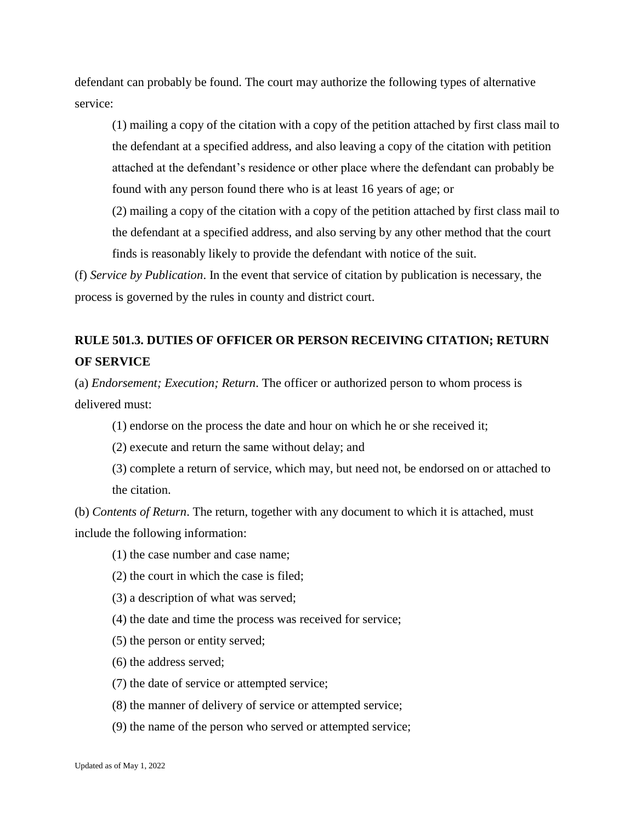defendant can probably be found. The court may authorize the following types of alternative service:

(1) mailing a copy of the citation with a copy of the petition attached by first class mail to the defendant at a specified address, and also leaving a copy of the citation with petition attached at the defendant's residence or other place where the defendant can probably be found with any person found there who is at least 16 years of age; or

(2) mailing a copy of the citation with a copy of the petition attached by first class mail to the defendant at a specified address, and also serving by any other method that the court finds is reasonably likely to provide the defendant with notice of the suit.

(f) *Service by Publication*. In the event that service of citation by publication is necessary, the process is governed by the rules in county and district court.

# **RULE 501.3. DUTIES OF OFFICER OR PERSON RECEIVING CITATION; RETURN OF SERVICE**

(a) *Endorsement; Execution; Return*. The officer or authorized person to whom process is delivered must:

- (1) endorse on the process the date and hour on which he or she received it;
- (2) execute and return the same without delay; and
- (3) complete a return of service, which may, but need not, be endorsed on or attached to the citation.

(b) *Contents of Return*. The return, together with any document to which it is attached, must include the following information:

- (1) the case number and case name;
- (2) the court in which the case is filed;
- (3) a description of what was served;
- (4) the date and time the process was received for service;
- (5) the person or entity served;
- (6) the address served;
- (7) the date of service or attempted service;
- (8) the manner of delivery of service or attempted service;
- (9) the name of the person who served or attempted service;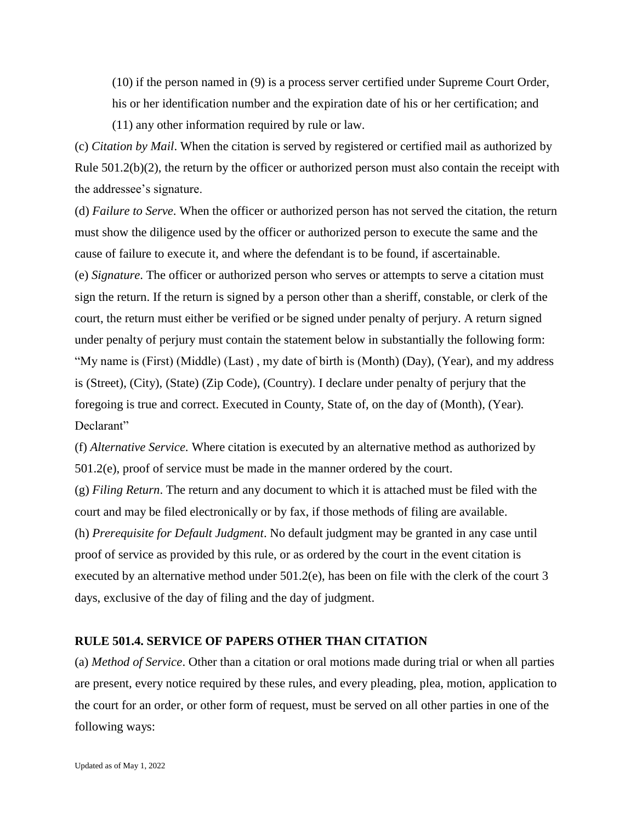(10) if the person named in (9) is a process server certified under Supreme Court Order, his or her identification number and the expiration date of his or her certification; and (11) any other information required by rule or law.

(c) *Citation by Mail*. When the citation is served by registered or certified mail as authorized by Rule 501.2(b)(2), the return by the officer or authorized person must also contain the receipt with the addressee's signature.

(d) *Failure to Serve*. When the officer or authorized person has not served the citation, the return must show the diligence used by the officer or authorized person to execute the same and the cause of failure to execute it, and where the defendant is to be found, if ascertainable. (e) *Signature*. The officer or authorized person who serves or attempts to serve a citation must sign the return. If the return is signed by a person other than a sheriff, constable, or clerk of the court, the return must either be verified or be signed under penalty of perjury. A return signed under penalty of perjury must contain the statement below in substantially the following form: "My name is (First) (Middle) (Last) , my date of birth is (Month) (Day), (Year), and my address is (Street), (City), (State) (Zip Code), (Country). I declare under penalty of perjury that the foregoing is true and correct. Executed in County, State of, on the day of (Month), (Year). Declarant"

(f) *Alternative Service*. Where citation is executed by an alternative method as authorized by 501.2(e), proof of service must be made in the manner ordered by the court.

(g) *Filing Return*. The return and any document to which it is attached must be filed with the court and may be filed electronically or by fax, if those methods of filing are available. (h) *Prerequisite for Default Judgment*. No default judgment may be granted in any case until proof of service as provided by this rule, or as ordered by the court in the event citation is executed by an alternative method under 501.2(e), has been on file with the clerk of the court 3 days, exclusive of the day of filing and the day of judgment.

## **RULE 501.4. SERVICE OF PAPERS OTHER THAN CITATION**

(a) *Method of Service*. Other than a citation or oral motions made during trial or when all parties are present, every notice required by these rules, and every pleading, plea, motion, application to the court for an order, or other form of request, must be served on all other parties in one of the following ways: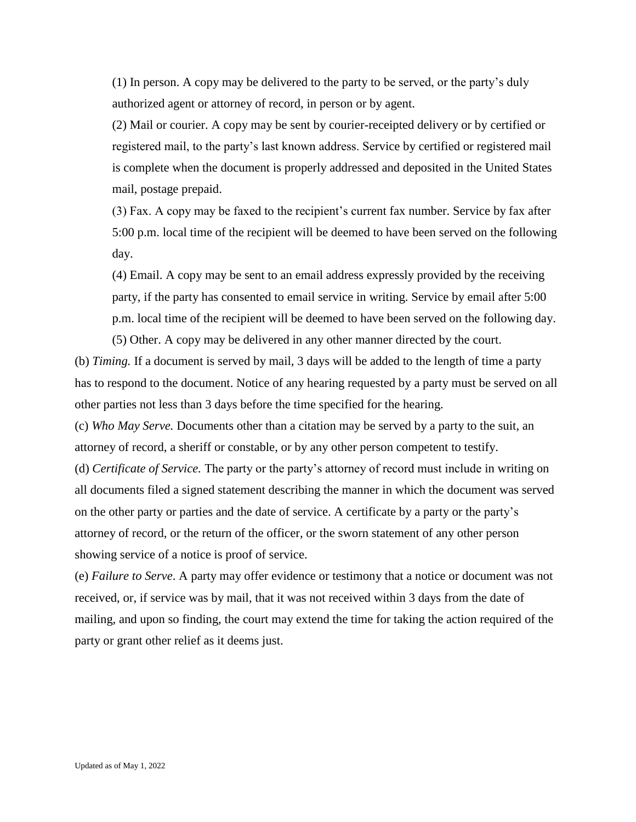(1) In person. A copy may be delivered to the party to be served, or the party's duly authorized agent or attorney of record, in person or by agent.

(2) Mail or courier. A copy may be sent by courier-receipted delivery or by certified or registered mail, to the party's last known address. Service by certified or registered mail is complete when the document is properly addressed and deposited in the United States mail, postage prepaid.

(3) Fax. A copy may be faxed to the recipient's current fax number. Service by fax after 5:00 p.m. local time of the recipient will be deemed to have been served on the following day.

(4) Email. A copy may be sent to an email address expressly provided by the receiving party, if the party has consented to email service in writing. Service by email after 5:00 p.m. local time of the recipient will be deemed to have been served on the following day.

(5) Other. A copy may be delivered in any other manner directed by the court. (b) *Timing.* If a document is served by mail, 3 days will be added to the length of time a party has to respond to the document. Notice of any hearing requested by a party must be served on all other parties not less than 3 days before the time specified for the hearing.

(c) *Who May Serve.* Documents other than a citation may be served by a party to the suit, an attorney of record, a sheriff or constable, or by any other person competent to testify. (d) *Certificate of Service.* The party or the party's attorney of record must include in writing on all documents filed a signed statement describing the manner in which the document was served on the other party or parties and the date of service. A certificate by a party or the party's

attorney of record, or the return of the officer, or the sworn statement of any other person showing service of a notice is proof of service.

(e) *Failure to Serve*. A party may offer evidence or testimony that a notice or document was not received, or, if service was by mail, that it was not received within 3 days from the date of mailing, and upon so finding, the court may extend the time for taking the action required of the party or grant other relief as it deems just.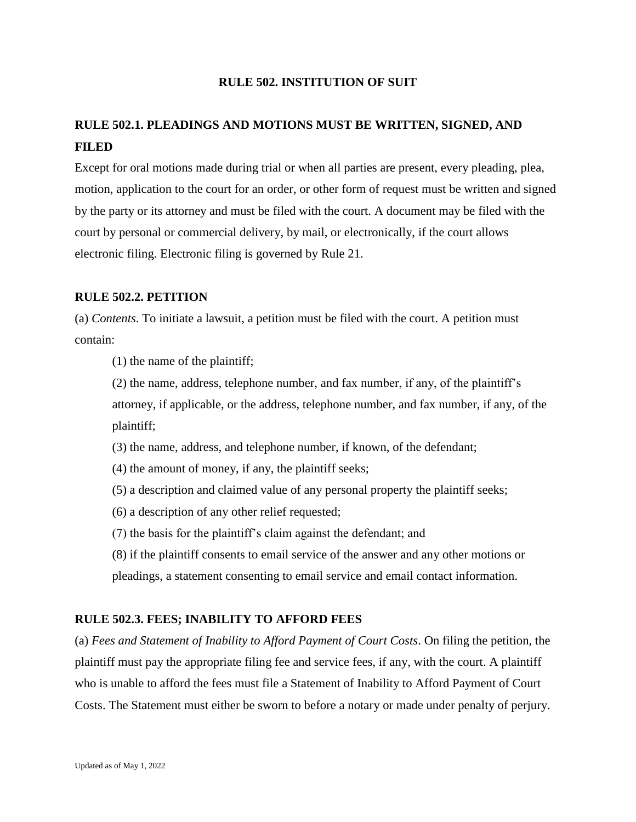# **RULE 502. INSTITUTION OF SUIT**

# **RULE 502.1. PLEADINGS AND MOTIONS MUST BE WRITTEN, SIGNED, AND FILED**

Except for oral motions made during trial or when all parties are present, every pleading, plea, motion, application to the court for an order, or other form of request must be written and signed by the party or its attorney and must be filed with the court. A document may be filed with the court by personal or commercial delivery, by mail, or electronically, if the court allows electronic filing. Electronic filing is governed by Rule 21.

# **RULE 502.2. PETITION**

(a) *Contents*. To initiate a lawsuit, a petition must be filed with the court. A petition must contain:

(1) the name of the plaintiff;

(2) the name, address, telephone number, and fax number, if any, of the plaintiff's attorney, if applicable, or the address, telephone number, and fax number, if any, of the plaintiff;

(3) the name, address, and telephone number, if known, of the defendant;

(4) the amount of money, if any, the plaintiff seeks;

(5) a description and claimed value of any personal property the plaintiff seeks;

(6) a description of any other relief requested;

(7) the basis for the plaintiff's claim against the defendant; and

(8) if the plaintiff consents to email service of the answer and any other motions or pleadings, a statement consenting to email service and email contact information.

# **RULE 502.3. FEES; INABILITY TO AFFORD FEES**

(a) *Fees and Statement of Inability to Afford Payment of Court Costs*. On filing the petition, the plaintiff must pay the appropriate filing fee and service fees, if any, with the court. A plaintiff who is unable to afford the fees must file a Statement of Inability to Afford Payment of Court Costs. The Statement must either be sworn to before a notary or made under penalty of perjury.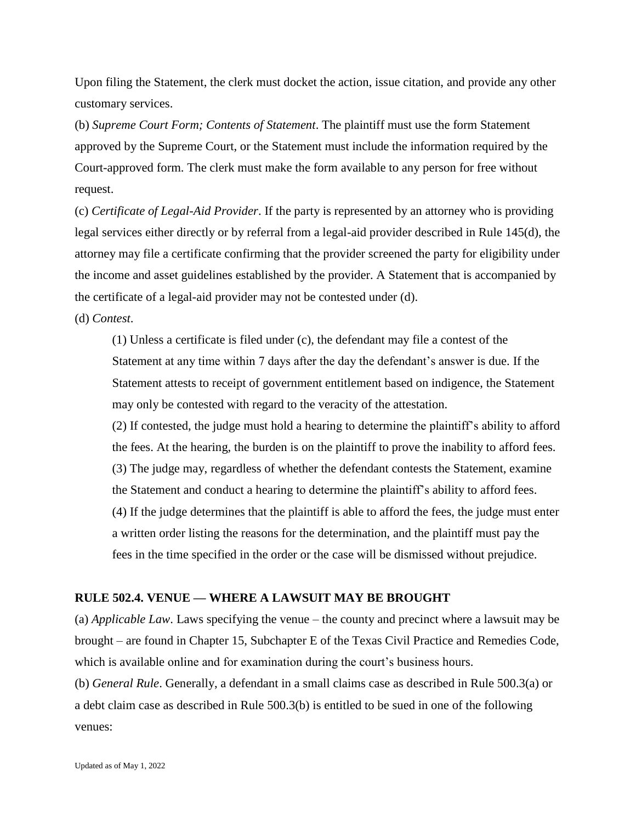Upon filing the Statement, the clerk must docket the action, issue citation, and provide any other customary services.

(b) *Supreme Court Form; Contents of Statement*. The plaintiff must use the form Statement approved by the Supreme Court, or the Statement must include the information required by the Court-approved form. The clerk must make the form available to any person for free without request.

(c) *Certificate of Legal-Aid Provider*. If the party is represented by an attorney who is providing legal services either directly or by referral from a legal-aid provider described in Rule 145(d), the attorney may file a certificate confirming that the provider screened the party for eligibility under the income and asset guidelines established by the provider. A Statement that is accompanied by the certificate of a legal-aid provider may not be contested under (d). (d) *Contest*.

(1) Unless a certificate is filed under (c), the defendant may file a contest of the Statement at any time within 7 days after the day the defendant's answer is due. If the Statement attests to receipt of government entitlement based on indigence, the Statement may only be contested with regard to the veracity of the attestation.

(2) If contested, the judge must hold a hearing to determine the plaintiff's ability to afford the fees. At the hearing, the burden is on the plaintiff to prove the inability to afford fees. (3) The judge may, regardless of whether the defendant contests the Statement, examine the Statement and conduct a hearing to determine the plaintiff's ability to afford fees. (4) If the judge determines that the plaintiff is able to afford the fees, the judge must enter a written order listing the reasons for the determination, and the plaintiff must pay the fees in the time specified in the order or the case will be dismissed without prejudice.

## **RULE 502.4. VENUE — WHERE A LAWSUIT MAY BE BROUGHT**

(a) *Applicable Law*. Laws specifying the venue – the county and precinct where a lawsuit may be brought – are found in Chapter 15, Subchapter E of the Texas Civil Practice and Remedies Code, which is available online and for examination during the court's business hours. (b) *General Rule*. Generally, a defendant in a small claims case as described in Rule 500.3(a) or a debt claim case as described in Rule 500.3(b) is entitled to be sued in one of the following venues: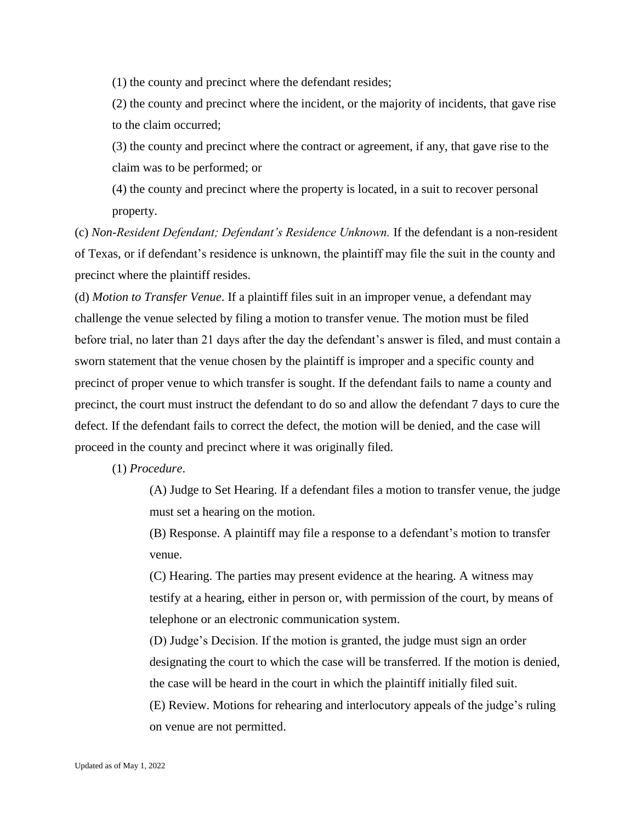(1) the county and precinct where the defendant resides;

(2) the county and precinct where the incident, or the majority of incidents, that gave rise to the claim occurred;

(3) the county and precinct where the contract or agreement, if any, that gave rise to the claim was to be performed; or

(4) the county and precinct where the property is located, in a suit to recover personal property.

(c) *Non-Resident Defendant; Defendant's Residence Unknown.* If the defendant is a non-resident of Texas, or if defendant's residence is unknown, the plaintiff may file the suit in the county and precinct where the plaintiff resides.

(d) *Motion to Transfer Venue*. If a plaintiff files suit in an improper venue, a defendant may challenge the venue selected by filing a motion to transfer venue. The motion must be filed before trial, no later than 21 days after the day the defendant's answer is filed, and must contain a sworn statement that the venue chosen by the plaintiff is improper and a specific county and precinct of proper venue to which transfer is sought. If the defendant fails to name a county and precinct, the court must instruct the defendant to do so and allow the defendant 7 days to cure the defect. If the defendant fails to correct the defect, the motion will be denied, and the case will proceed in the county and precinct where it was originally filed.

(1) *Procedure*.

(A) Judge to Set Hearing. If a defendant files a motion to transfer venue, the judge must set a hearing on the motion.

(B) Response. A plaintiff may file a response to a defendant's motion to transfer venue.

(C) Hearing. The parties may present evidence at the hearing. A witness may testify at a hearing, either in person or, with permission of the court, by means of telephone or an electronic communication system.

(D) Judge's Decision. If the motion is granted, the judge must sign an order designating the court to which the case will be transferred. If the motion is denied, the case will be heard in the court in which the plaintiff initially filed suit.

(E) Review. Motions for rehearing and interlocutory appeals of the judge's ruling on venue are not permitted.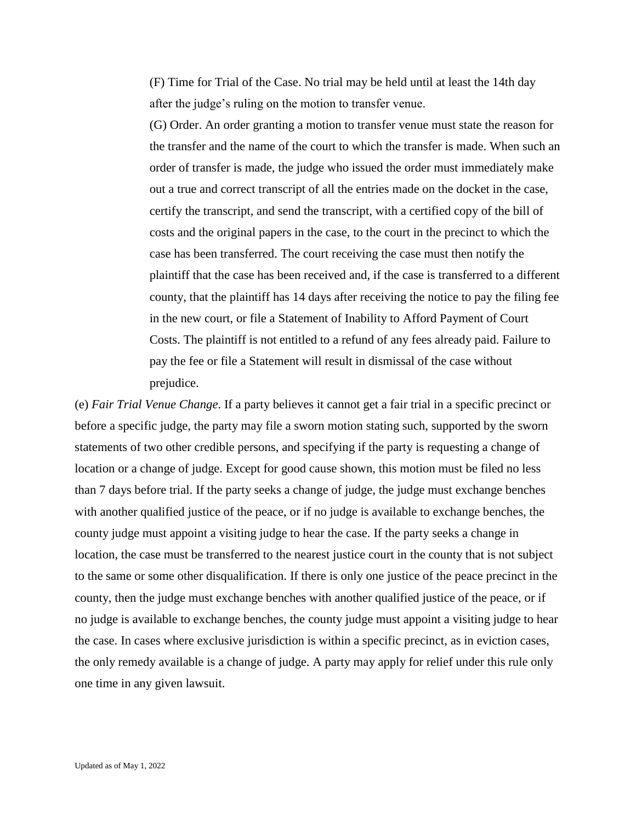(F) Time for Trial of the Case. No trial may be held until at least the 14th day after the judge's ruling on the motion to transfer venue.

(G) Order. An order granting a motion to transfer venue must state the reason for the transfer and the name of the court to which the transfer is made. When such an order of transfer is made, the judge who issued the order must immediately make out a true and correct transcript of all the entries made on the docket in the case, certify the transcript, and send the transcript, with a certified copy of the bill of costs and the original papers in the case, to the court in the precinct to which the case has been transferred. The court receiving the case must then notify the plaintiff that the case has been received and, if the case is transferred to a different county, that the plaintiff has 14 days after receiving the notice to pay the filing fee in the new court, or file a Statement of Inability to Afford Payment of Court Costs. The plaintiff is not entitled to a refund of any fees already paid. Failure to pay the fee or file a Statement will result in dismissal of the case without prejudice.

(e) *Fair Trial Venue Change*. If a party believes it cannot get a fair trial in a specific precinct or before a specific judge, the party may file a sworn motion stating such, supported by the sworn statements of two other credible persons, and specifying if the party is requesting a change of location or a change of judge. Except for good cause shown, this motion must be filed no less than 7 days before trial. If the party seeks a change of judge, the judge must exchange benches with another qualified justice of the peace, or if no judge is available to exchange benches, the county judge must appoint a visiting judge to hear the case. If the party seeks a change in location, the case must be transferred to the nearest justice court in the county that is not subject to the same or some other disqualification. If there is only one justice of the peace precinct in the county, then the judge must exchange benches with another qualified justice of the peace, or if no judge is available to exchange benches, the county judge must appoint a visiting judge to hear the case. In cases where exclusive jurisdiction is within a specific precinct, as in eviction cases, the only remedy available is a change of judge. A party may apply for relief under this rule only one time in any given lawsuit.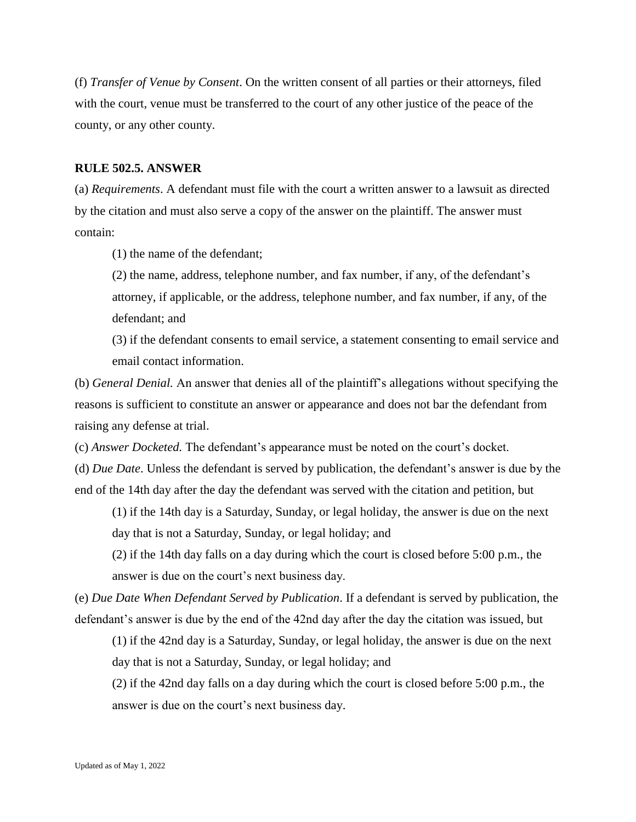(f) *Transfer of Venue by Consent*. On the written consent of all parties or their attorneys, filed with the court, venue must be transferred to the court of any other justice of the peace of the county, or any other county.

#### **RULE 502.5. ANSWER**

(a) *Requirements*. A defendant must file with the court a written answer to a lawsuit as directed by the citation and must also serve a copy of the answer on the plaintiff. The answer must contain:

(1) the name of the defendant;

(2) the name, address, telephone number, and fax number, if any, of the defendant's attorney, if applicable, or the address, telephone number, and fax number, if any, of the defendant; and

(3) if the defendant consents to email service, a statement consenting to email service and email contact information.

(b) *General Denial.* An answer that denies all of the plaintiff's allegations without specifying the reasons is sufficient to constitute an answer or appearance and does not bar the defendant from raising any defense at trial.

(c) *Answer Docketed.* The defendant's appearance must be noted on the court's docket.

(d) *Due Date*. Unless the defendant is served by publication, the defendant's answer is due by the end of the 14th day after the day the defendant was served with the citation and petition, but

(1) if the 14th day is a Saturday, Sunday, or legal holiday, the answer is due on the next day that is not a Saturday, Sunday, or legal holiday; and

(2) if the 14th day falls on a day during which the court is closed before 5:00 p.m., the answer is due on the court's next business day.

(e) *Due Date When Defendant Served by Publication*. If a defendant is served by publication, the defendant's answer is due by the end of the 42nd day after the day the citation was issued, but

(1) if the 42nd day is a Saturday, Sunday, or legal holiday, the answer is due on the next day that is not a Saturday, Sunday, or legal holiday; and

(2) if the 42nd day falls on a day during which the court is closed before 5:00 p.m., the answer is due on the court's next business day.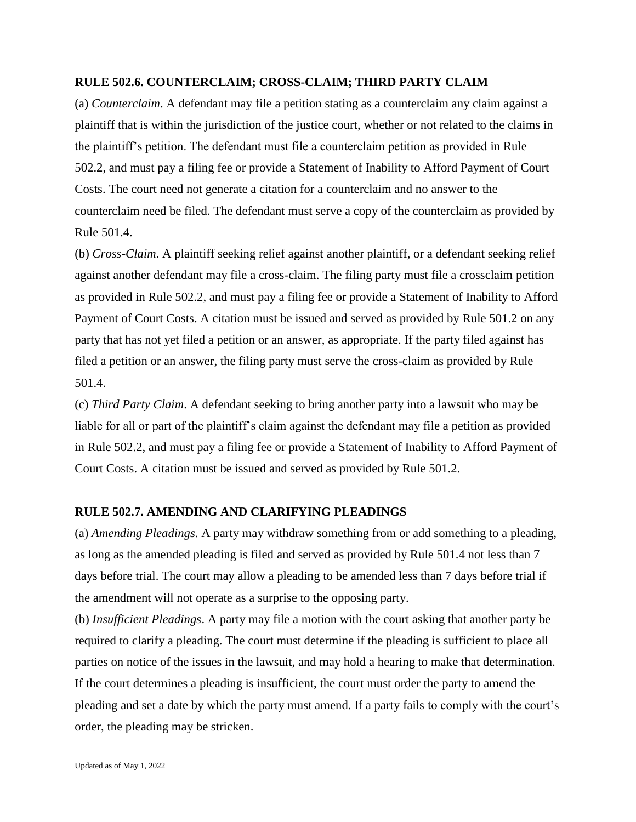### **RULE 502.6. COUNTERCLAIM; CROSS-CLAIM; THIRD PARTY CLAIM**

(a) *Counterclaim*. A defendant may file a petition stating as a counterclaim any claim against a plaintiff that is within the jurisdiction of the justice court, whether or not related to the claims in the plaintiff's petition. The defendant must file a counterclaim petition as provided in Rule 502.2, and must pay a filing fee or provide a Statement of Inability to Afford Payment of Court Costs. The court need not generate a citation for a counterclaim and no answer to the counterclaim need be filed. The defendant must serve a copy of the counterclaim as provided by Rule 501.4.

(b) *Cross-Claim*. A plaintiff seeking relief against another plaintiff, or a defendant seeking relief against another defendant may file a cross-claim. The filing party must file a crossclaim petition as provided in Rule 502.2, and must pay a filing fee or provide a Statement of Inability to Afford Payment of Court Costs. A citation must be issued and served as provided by Rule 501.2 on any party that has not yet filed a petition or an answer, as appropriate. If the party filed against has filed a petition or an answer, the filing party must serve the cross-claim as provided by Rule 501.4.

(c) *Third Party Claim*. A defendant seeking to bring another party into a lawsuit who may be liable for all or part of the plaintiff's claim against the defendant may file a petition as provided in Rule 502.2, and must pay a filing fee or provide a Statement of Inability to Afford Payment of Court Costs. A citation must be issued and served as provided by Rule 501.2.

# **RULE 502.7. AMENDING AND CLARIFYING PLEADINGS**

(a) *Amending Pleadings*. A party may withdraw something from or add something to a pleading, as long as the amended pleading is filed and served as provided by Rule 501.4 not less than 7 days before trial. The court may allow a pleading to be amended less than 7 days before trial if the amendment will not operate as a surprise to the opposing party.

(b) *Insufficient Pleadings*. A party may file a motion with the court asking that another party be required to clarify a pleading. The court must determine if the pleading is sufficient to place all parties on notice of the issues in the lawsuit, and may hold a hearing to make that determination. If the court determines a pleading is insufficient, the court must order the party to amend the pleading and set a date by which the party must amend. If a party fails to comply with the court's order, the pleading may be stricken.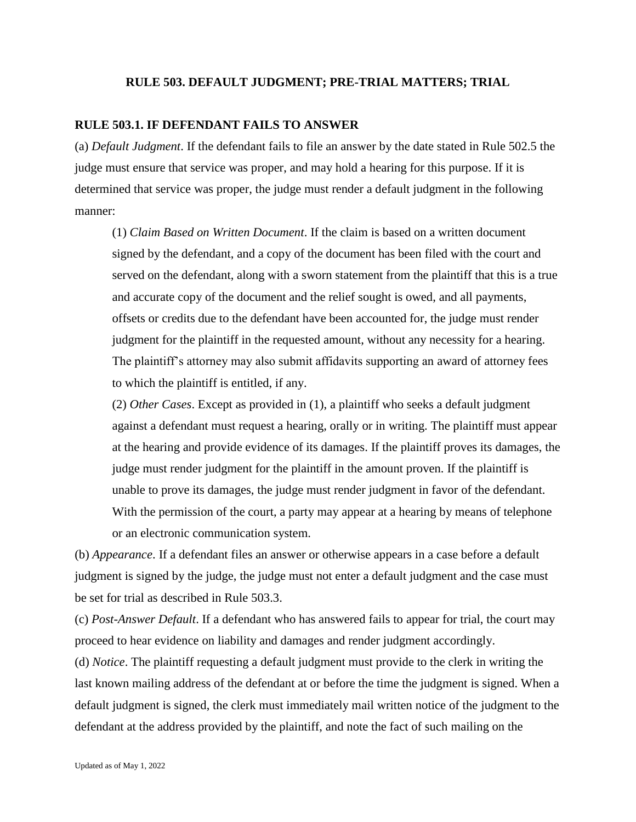#### **RULE 503. DEFAULT JUDGMENT; PRE-TRIAL MATTERS; TRIAL**

#### **RULE 503.1. IF DEFENDANT FAILS TO ANSWER**

(a) *Default Judgment*. If the defendant fails to file an answer by the date stated in Rule 502.5 the judge must ensure that service was proper, and may hold a hearing for this purpose. If it is determined that service was proper, the judge must render a default judgment in the following manner:

(1) *Claim Based on Written Document*. If the claim is based on a written document signed by the defendant, and a copy of the document has been filed with the court and served on the defendant, along with a sworn statement from the plaintiff that this is a true and accurate copy of the document and the relief sought is owed, and all payments, offsets or credits due to the defendant have been accounted for, the judge must render judgment for the plaintiff in the requested amount, without any necessity for a hearing. The plaintiff's attorney may also submit affidavits supporting an award of attorney fees to which the plaintiff is entitled, if any.

(2) *Other Cases*. Except as provided in (1), a plaintiff who seeks a default judgment against a defendant must request a hearing, orally or in writing. The plaintiff must appear at the hearing and provide evidence of its damages. If the plaintiff proves its damages, the judge must render judgment for the plaintiff in the amount proven. If the plaintiff is unable to prove its damages, the judge must render judgment in favor of the defendant. With the permission of the court, a party may appear at a hearing by means of telephone or an electronic communication system.

(b) *Appearance*. If a defendant files an answer or otherwise appears in a case before a default judgment is signed by the judge, the judge must not enter a default judgment and the case must be set for trial as described in Rule 503.3.

(c) *Post-Answer Default*. If a defendant who has answered fails to appear for trial, the court may proceed to hear evidence on liability and damages and render judgment accordingly.

(d) *Notice*. The plaintiff requesting a default judgment must provide to the clerk in writing the last known mailing address of the defendant at or before the time the judgment is signed. When a default judgment is signed, the clerk must immediately mail written notice of the judgment to the defendant at the address provided by the plaintiff, and note the fact of such mailing on the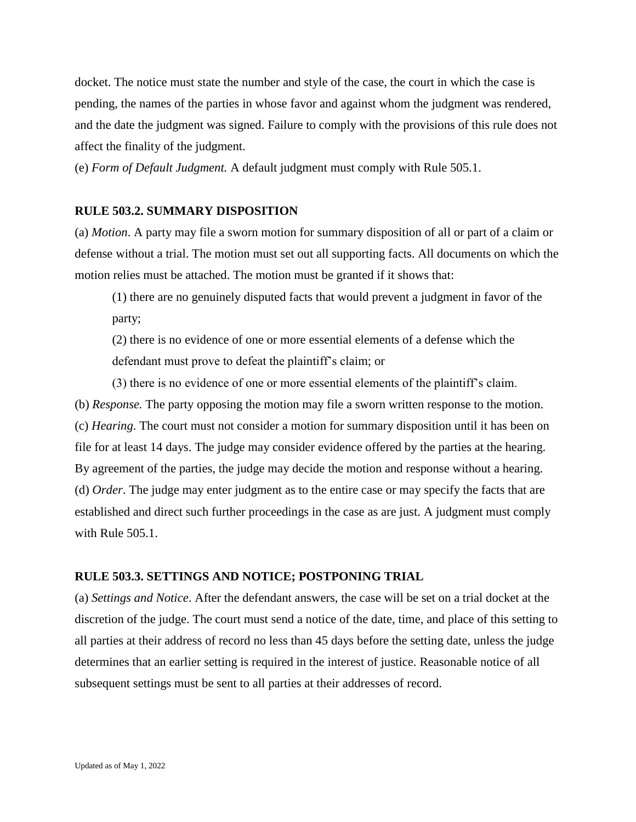docket. The notice must state the number and style of the case, the court in which the case is pending, the names of the parties in whose favor and against whom the judgment was rendered, and the date the judgment was signed. Failure to comply with the provisions of this rule does not affect the finality of the judgment.

(e) *Form of Default Judgment.* A default judgment must comply with Rule 505.1.

## **RULE 503.2. SUMMARY DISPOSITION**

(a) *Motion*. A party may file a sworn motion for summary disposition of all or part of a claim or defense without a trial. The motion must set out all supporting facts. All documents on which the motion relies must be attached. The motion must be granted if it shows that:

(1) there are no genuinely disputed facts that would prevent a judgment in favor of the party;

(2) there is no evidence of one or more essential elements of a defense which the defendant must prove to defeat the plaintiff's claim; or

(3) there is no evidence of one or more essential elements of the plaintiff's claim. (b) *Response.* The party opposing the motion may file a sworn written response to the motion. (c) *Hearing*. The court must not consider a motion for summary disposition until it has been on file for at least 14 days. The judge may consider evidence offered by the parties at the hearing. By agreement of the parties, the judge may decide the motion and response without a hearing. (d) *Order*. The judge may enter judgment as to the entire case or may specify the facts that are established and direct such further proceedings in the case as are just. A judgment must comply with Rule 505.1.

### **RULE 503.3. SETTINGS AND NOTICE; POSTPONING TRIAL**

(a) *Settings and Notice*. After the defendant answers, the case will be set on a trial docket at the discretion of the judge. The court must send a notice of the date, time, and place of this setting to all parties at their address of record no less than 45 days before the setting date, unless the judge determines that an earlier setting is required in the interest of justice. Reasonable notice of all subsequent settings must be sent to all parties at their addresses of record.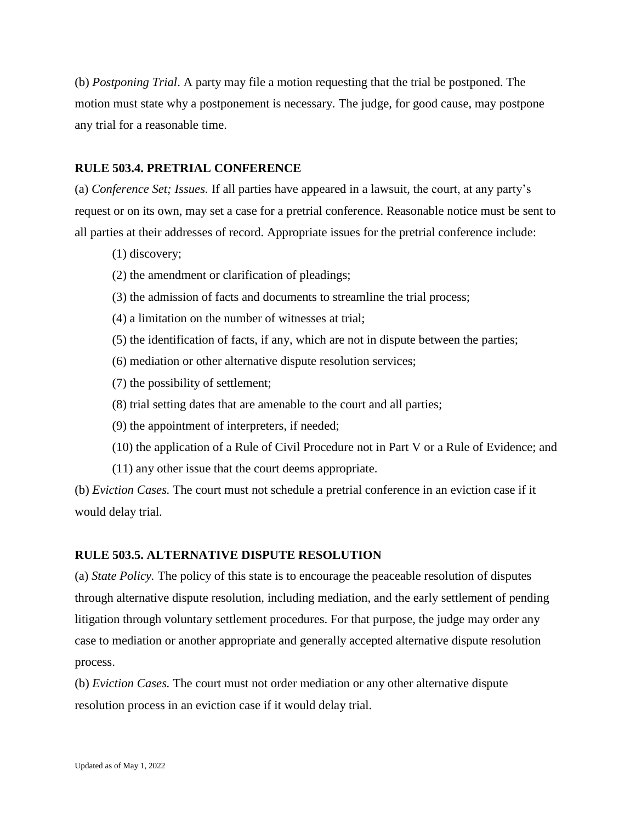(b) *Postponing Trial*. A party may file a motion requesting that the trial be postponed. The motion must state why a postponement is necessary. The judge, for good cause, may postpone any trial for a reasonable time.

### **RULE 503.4. PRETRIAL CONFERENCE**

(a) *Conference Set; Issues.* If all parties have appeared in a lawsuit, the court, at any party's request or on its own, may set a case for a pretrial conference. Reasonable notice must be sent to all parties at their addresses of record. Appropriate issues for the pretrial conference include:

- (1) discovery;
- (2) the amendment or clarification of pleadings;
- (3) the admission of facts and documents to streamline the trial process;
- (4) a limitation on the number of witnesses at trial;
- (5) the identification of facts, if any, which are not in dispute between the parties;
- (6) mediation or other alternative dispute resolution services;
- (7) the possibility of settlement;
- (8) trial setting dates that are amenable to the court and all parties;
- (9) the appointment of interpreters, if needed;
- (10) the application of a Rule of Civil Procedure not in Part V or a Rule of Evidence; and
- (11) any other issue that the court deems appropriate.

(b) *Eviction Cases.* The court must not schedule a pretrial conference in an eviction case if it would delay trial.

### **RULE 503.5. ALTERNATIVE DISPUTE RESOLUTION**

(a) *State Policy.* The policy of this state is to encourage the peaceable resolution of disputes through alternative dispute resolution, including mediation, and the early settlement of pending litigation through voluntary settlement procedures. For that purpose, the judge may order any case to mediation or another appropriate and generally accepted alternative dispute resolution process.

(b) *Eviction Cases.* The court must not order mediation or any other alternative dispute resolution process in an eviction case if it would delay trial.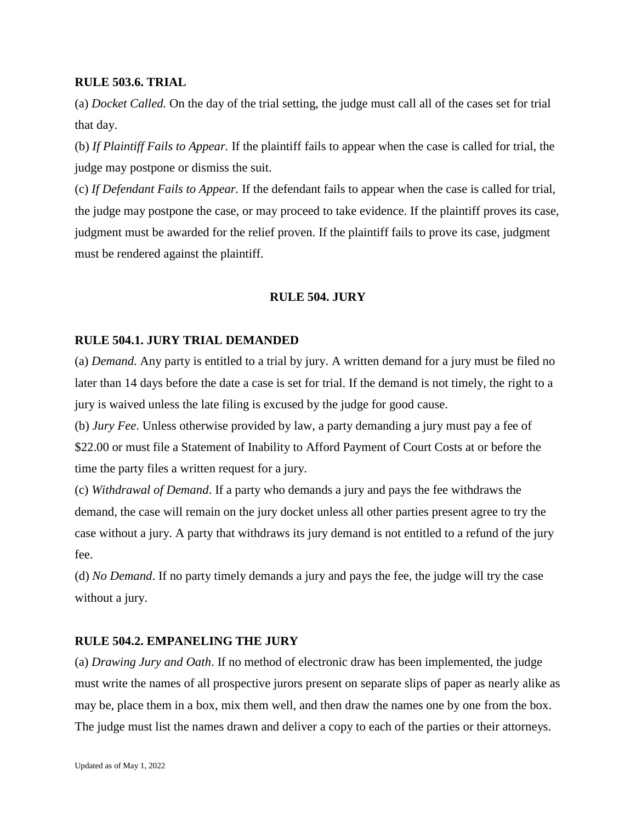# **RULE 503.6. TRIAL**

(a) *Docket Called.* On the day of the trial setting, the judge must call all of the cases set for trial that day.

(b) *If Plaintiff Fails to Appear.* If the plaintiff fails to appear when the case is called for trial, the judge may postpone or dismiss the suit.

(c) *If Defendant Fails to Appear.* If the defendant fails to appear when the case is called for trial, the judge may postpone the case, or may proceed to take evidence. If the plaintiff proves its case, judgment must be awarded for the relief proven. If the plaintiff fails to prove its case, judgment must be rendered against the plaintiff.

## **RULE 504. JURY**

#### **RULE 504.1. JURY TRIAL DEMANDED**

(a) *Demand*. Any party is entitled to a trial by jury. A written demand for a jury must be filed no later than 14 days before the date a case is set for trial. If the demand is not timely, the right to a jury is waived unless the late filing is excused by the judge for good cause.

(b) *Jury Fee*. Unless otherwise provided by law, a party demanding a jury must pay a fee of \$22.00 or must file a Statement of Inability to Afford Payment of Court Costs at or before the time the party files a written request for a jury.

(c) *Withdrawal of Demand*. If a party who demands a jury and pays the fee withdraws the demand, the case will remain on the jury docket unless all other parties present agree to try the case without a jury. A party that withdraws its jury demand is not entitled to a refund of the jury fee.

(d) *No Demand*. If no party timely demands a jury and pays the fee, the judge will try the case without a jury.

## **RULE 504.2. EMPANELING THE JURY**

(a) *Drawing Jury and Oath*. If no method of electronic draw has been implemented, the judge must write the names of all prospective jurors present on separate slips of paper as nearly alike as may be, place them in a box, mix them well, and then draw the names one by one from the box. The judge must list the names drawn and deliver a copy to each of the parties or their attorneys.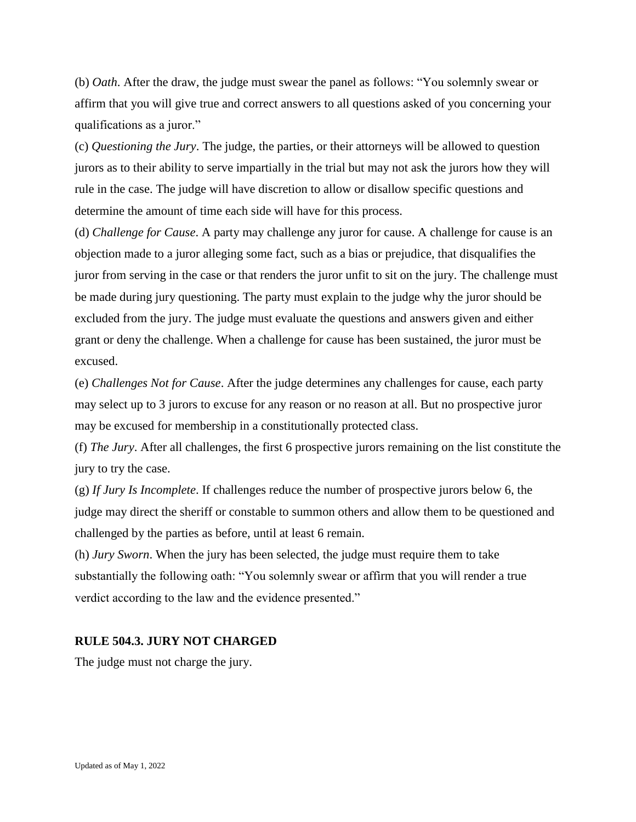(b) *Oath*. After the draw, the judge must swear the panel as follows: "You solemnly swear or affirm that you will give true and correct answers to all questions asked of you concerning your qualifications as a juror."

(c) *Questioning the Jury*. The judge, the parties, or their attorneys will be allowed to question jurors as to their ability to serve impartially in the trial but may not ask the jurors how they will rule in the case. The judge will have discretion to allow or disallow specific questions and determine the amount of time each side will have for this process.

(d) *Challenge for Cause*. A party may challenge any juror for cause. A challenge for cause is an objection made to a juror alleging some fact, such as a bias or prejudice, that disqualifies the juror from serving in the case or that renders the juror unfit to sit on the jury. The challenge must be made during jury questioning. The party must explain to the judge why the juror should be excluded from the jury. The judge must evaluate the questions and answers given and either grant or deny the challenge. When a challenge for cause has been sustained, the juror must be excused.

(e) *Challenges Not for Cause*. After the judge determines any challenges for cause, each party may select up to 3 jurors to excuse for any reason or no reason at all. But no prospective juror may be excused for membership in a constitutionally protected class.

(f) *The Jury*. After all challenges, the first 6 prospective jurors remaining on the list constitute the jury to try the case.

(g) *If Jury Is Incomplete*. If challenges reduce the number of prospective jurors below 6, the judge may direct the sheriff or constable to summon others and allow them to be questioned and challenged by the parties as before, until at least 6 remain.

(h) *Jury Sworn*. When the jury has been selected, the judge must require them to take substantially the following oath: "You solemnly swear or affirm that you will render a true verdict according to the law and the evidence presented."

#### **RULE 504.3. JURY NOT CHARGED**

The judge must not charge the jury.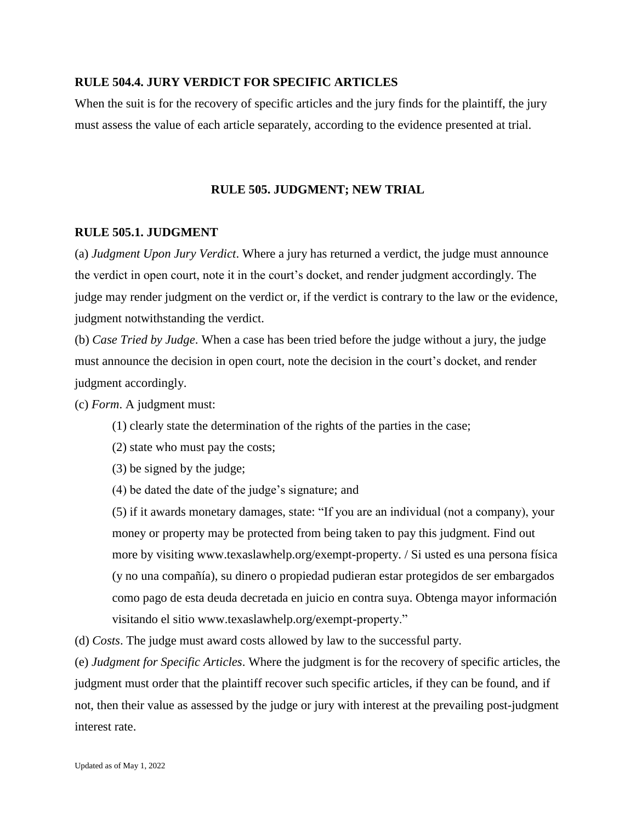### **RULE 504.4. JURY VERDICT FOR SPECIFIC ARTICLES**

When the suit is for the recovery of specific articles and the jury finds for the plaintiff, the jury must assess the value of each article separately, according to the evidence presented at trial.

### **RULE 505. JUDGMENT; NEW TRIAL**

#### **RULE 505.1. JUDGMENT**

(a) *Judgment Upon Jury Verdict*. Where a jury has returned a verdict, the judge must announce the verdict in open court, note it in the court's docket, and render judgment accordingly. The judge may render judgment on the verdict or, if the verdict is contrary to the law or the evidence, judgment notwithstanding the verdict.

(b) *Case Tried by Judge*. When a case has been tried before the judge without a jury, the judge must announce the decision in open court, note the decision in the court's docket, and render judgment accordingly.

(c) *Form*. A judgment must:

(1) clearly state the determination of the rights of the parties in the case;

(2) state who must pay the costs;

(3) be signed by the judge;

(4) be dated the date of the judge's signature; and

(5) if it awards monetary damages, state: "If you are an individual (not a company), your money or property may be protected from being taken to pay this judgment. Find out more by visiting www.texaslawhelp.org/exempt-property. / Si usted es una persona física (y no una compañía), su dinero o propiedad pudieran estar protegidos de ser embargados como pago de esta deuda decretada en juicio en contra suya. Obtenga mayor información visitando el sitio www.texaslawhelp.org/exempt-property."

(d) *Costs*. The judge must award costs allowed by law to the successful party.

(e) *Judgment for Specific Articles*. Where the judgment is for the recovery of specific articles, the judgment must order that the plaintiff recover such specific articles, if they can be found, and if not, then their value as assessed by the judge or jury with interest at the prevailing post-judgment interest rate.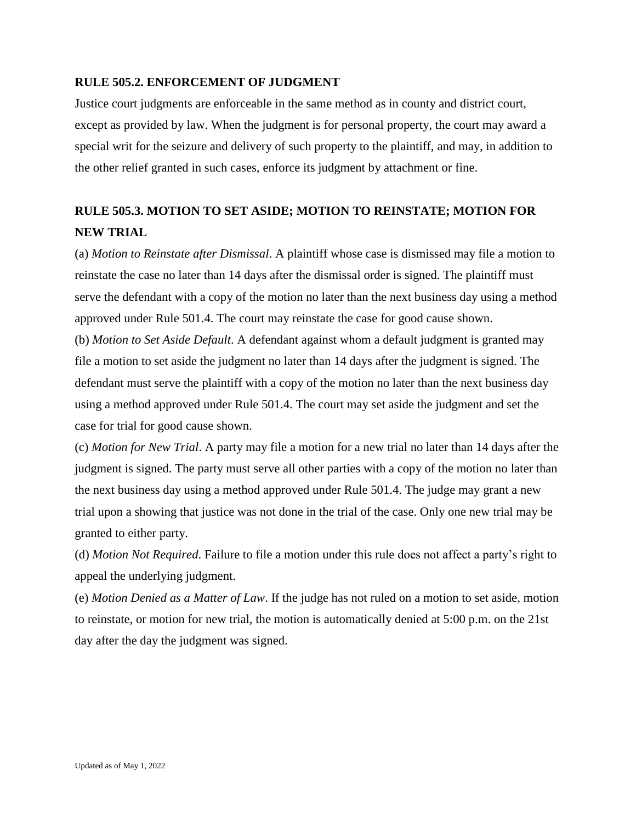# **RULE 505.2. ENFORCEMENT OF JUDGMENT**

Justice court judgments are enforceable in the same method as in county and district court, except as provided by law. When the judgment is for personal property, the court may award a special writ for the seizure and delivery of such property to the plaintiff, and may, in addition to the other relief granted in such cases, enforce its judgment by attachment or fine.

# **RULE 505.3. MOTION TO SET ASIDE; MOTION TO REINSTATE; MOTION FOR NEW TRIAL**

(a) *Motion to Reinstate after Dismissal*. A plaintiff whose case is dismissed may file a motion to reinstate the case no later than 14 days after the dismissal order is signed. The plaintiff must serve the defendant with a copy of the motion no later than the next business day using a method approved under Rule 501.4. The court may reinstate the case for good cause shown. (b) *Motion to Set Aside Default*. A defendant against whom a default judgment is granted may file a motion to set aside the judgment no later than 14 days after the judgment is signed. The defendant must serve the plaintiff with a copy of the motion no later than the next business day using a method approved under Rule 501.4. The court may set aside the judgment and set the case for trial for good cause shown.

(c) *Motion for New Trial*. A party may file a motion for a new trial no later than 14 days after the judgment is signed. The party must serve all other parties with a copy of the motion no later than the next business day using a method approved under Rule 501.4. The judge may grant a new trial upon a showing that justice was not done in the trial of the case. Only one new trial may be granted to either party.

(d) *Motion Not Required*. Failure to file a motion under this rule does not affect a party's right to appeal the underlying judgment.

(e) *Motion Denied as a Matter of Law*. If the judge has not ruled on a motion to set aside, motion to reinstate, or motion for new trial, the motion is automatically denied at 5:00 p.m. on the 21st day after the day the judgment was signed.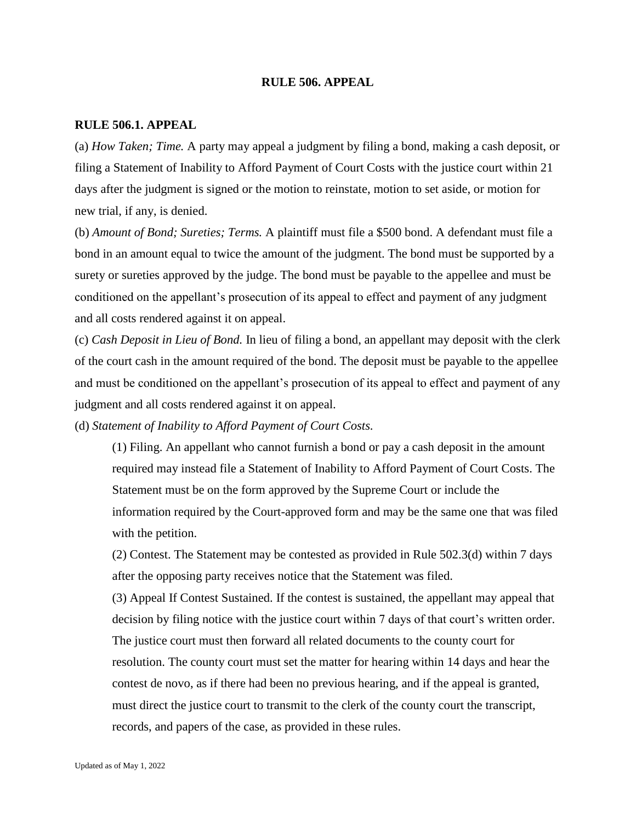#### **RULE 506. APPEAL**

#### **RULE 506.1. APPEAL**

(a) *How Taken; Time.* A party may appeal a judgment by filing a bond, making a cash deposit, or filing a Statement of Inability to Afford Payment of Court Costs with the justice court within 21 days after the judgment is signed or the motion to reinstate, motion to set aside, or motion for new trial, if any, is denied.

(b) *Amount of Bond; Sureties; Terms.* A plaintiff must file a \$500 bond. A defendant must file a bond in an amount equal to twice the amount of the judgment. The bond must be supported by a surety or sureties approved by the judge. The bond must be payable to the appellee and must be conditioned on the appellant's prosecution of its appeal to effect and payment of any judgment and all costs rendered against it on appeal.

(c) *Cash Deposit in Lieu of Bond.* In lieu of filing a bond, an appellant may deposit with the clerk of the court cash in the amount required of the bond. The deposit must be payable to the appellee and must be conditioned on the appellant's prosecution of its appeal to effect and payment of any judgment and all costs rendered against it on appeal.

(d) *Statement of Inability to Afford Payment of Court Costs.*

(1) Filing. An appellant who cannot furnish a bond or pay a cash deposit in the amount required may instead file a Statement of Inability to Afford Payment of Court Costs. The Statement must be on the form approved by the Supreme Court or include the information required by the Court-approved form and may be the same one that was filed with the petition.

(2) Contest. The Statement may be contested as provided in Rule 502.3(d) within 7 days after the opposing party receives notice that the Statement was filed.

(3) Appeal If Contest Sustained. If the contest is sustained, the appellant may appeal that decision by filing notice with the justice court within 7 days of that court's written order. The justice court must then forward all related documents to the county court for resolution. The county court must set the matter for hearing within 14 days and hear the contest de novo, as if there had been no previous hearing, and if the appeal is granted, must direct the justice court to transmit to the clerk of the county court the transcript, records, and papers of the case, as provided in these rules.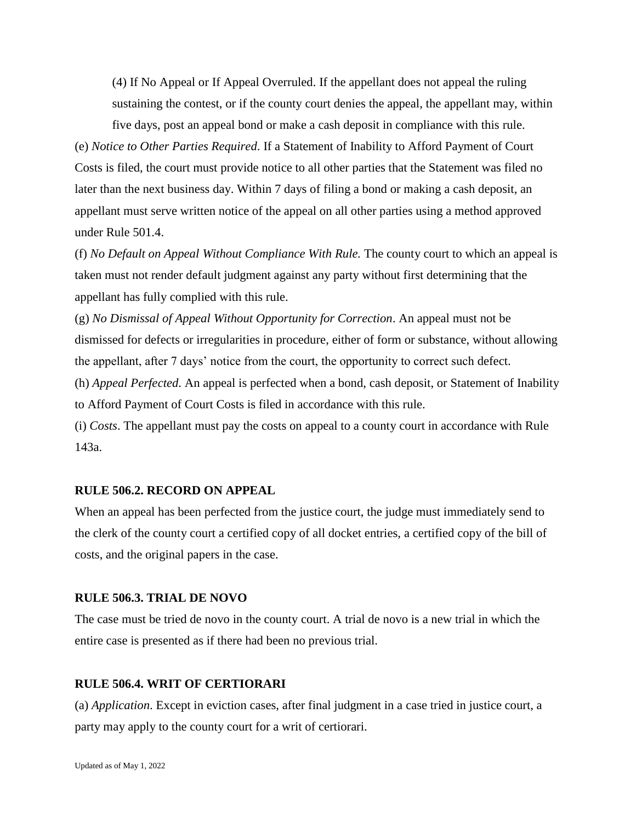(4) If No Appeal or If Appeal Overruled. If the appellant does not appeal the ruling sustaining the contest, or if the county court denies the appeal, the appellant may, within five days, post an appeal bond or make a cash deposit in compliance with this rule.

(e) *Notice to Other Parties Required*. If a Statement of Inability to Afford Payment of Court Costs is filed, the court must provide notice to all other parties that the Statement was filed no later than the next business day. Within 7 days of filing a bond or making a cash deposit, an appellant must serve written notice of the appeal on all other parties using a method approved under Rule 501.4.

(f) *No Default on Appeal Without Compliance With Rule.* The county court to which an appeal is taken must not render default judgment against any party without first determining that the appellant has fully complied with this rule.

(g) *No Dismissal of Appeal Without Opportunity for Correction*. An appeal must not be dismissed for defects or irregularities in procedure, either of form or substance, without allowing the appellant, after 7 days' notice from the court, the opportunity to correct such defect.

(h) *Appeal Perfected*. An appeal is perfected when a bond, cash deposit, or Statement of Inability to Afford Payment of Court Costs is filed in accordance with this rule.

(i) *Costs*. The appellant must pay the costs on appeal to a county court in accordance with Rule 143a.

#### **RULE 506.2. RECORD ON APPEAL**

When an appeal has been perfected from the justice court, the judge must immediately send to the clerk of the county court a certified copy of all docket entries, a certified copy of the bill of costs, and the original papers in the case.

#### **RULE 506.3. TRIAL DE NOVO**

The case must be tried de novo in the county court. A trial de novo is a new trial in which the entire case is presented as if there had been no previous trial.

### **RULE 506.4. WRIT OF CERTIORARI**

(a) *Application*. Except in eviction cases, after final judgment in a case tried in justice court, a party may apply to the county court for a writ of certiorari.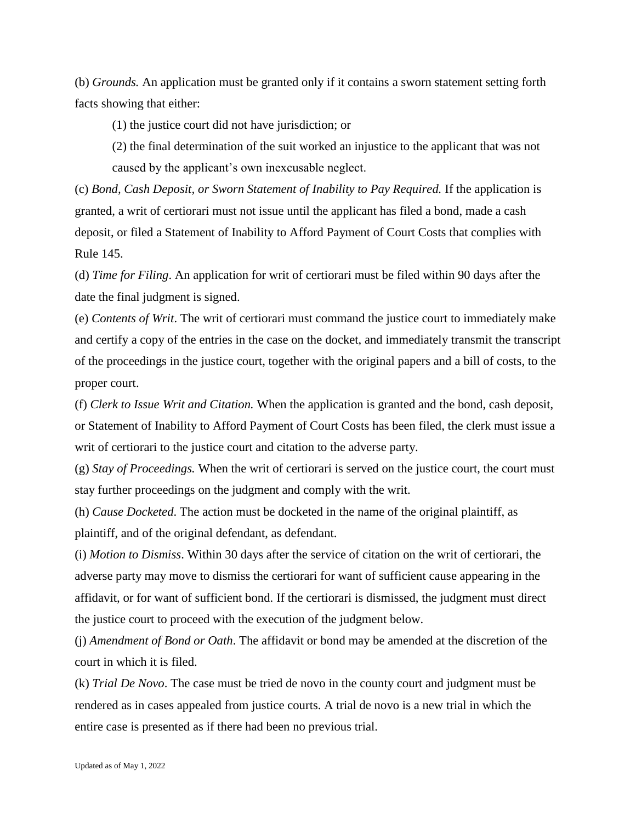(b) *Grounds.* An application must be granted only if it contains a sworn statement setting forth facts showing that either:

(1) the justice court did not have jurisdiction; or

(2) the final determination of the suit worked an injustice to the applicant that was not caused by the applicant's own inexcusable neglect.

(c) *Bond, Cash Deposit, or Sworn Statement of Inability to Pay Required.* If the application is granted, a writ of certiorari must not issue until the applicant has filed a bond, made a cash deposit, or filed a Statement of Inability to Afford Payment of Court Costs that complies with Rule 145.

(d) *Time for Filing*. An application for writ of certiorari must be filed within 90 days after the date the final judgment is signed.

(e) *Contents of Writ*. The writ of certiorari must command the justice court to immediately make and certify a copy of the entries in the case on the docket, and immediately transmit the transcript of the proceedings in the justice court, together with the original papers and a bill of costs, to the proper court.

(f) *Clerk to Issue Writ and Citation.* When the application is granted and the bond, cash deposit, or Statement of Inability to Afford Payment of Court Costs has been filed, the clerk must issue a writ of certiorari to the justice court and citation to the adverse party.

(g) *Stay of Proceedings.* When the writ of certiorari is served on the justice court, the court must stay further proceedings on the judgment and comply with the writ.

(h) *Cause Docketed*. The action must be docketed in the name of the original plaintiff, as plaintiff, and of the original defendant, as defendant.

(i) *Motion to Dismiss*. Within 30 days after the service of citation on the writ of certiorari, the adverse party may move to dismiss the certiorari for want of sufficient cause appearing in the affidavit, or for want of sufficient bond. If the certiorari is dismissed, the judgment must direct the justice court to proceed with the execution of the judgment below.

(j) *Amendment of Bond or Oath*. The affidavit or bond may be amended at the discretion of the court in which it is filed.

(k) *Trial De Novo*. The case must be tried de novo in the county court and judgment must be rendered as in cases appealed from justice courts. A trial de novo is a new trial in which the entire case is presented as if there had been no previous trial.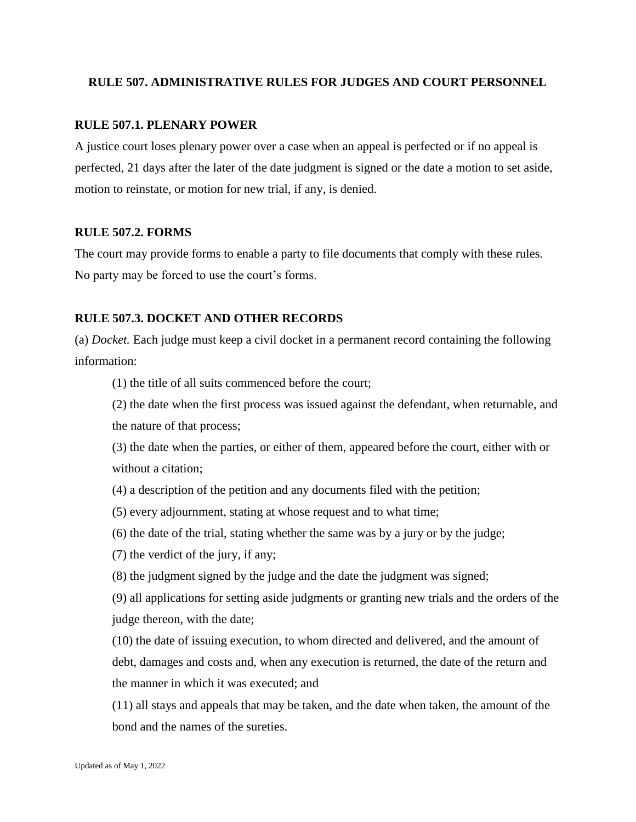# **RULE 507. ADMINISTRATIVE RULES FOR JUDGES AND COURT PERSONNEL**

# **RULE 507.1. PLENARY POWER**

A justice court loses plenary power over a case when an appeal is perfected or if no appeal is perfected, 21 days after the later of the date judgment is signed or the date a motion to set aside, motion to reinstate, or motion for new trial, if any, is denied.

# **RULE 507.2. FORMS**

The court may provide forms to enable a party to file documents that comply with these rules. No party may be forced to use the court's forms.

# **RULE 507.3. DOCKET AND OTHER RECORDS**

(a) *Docket.* Each judge must keep a civil docket in a permanent record containing the following information:

(1) the title of all suits commenced before the court;

(2) the date when the first process was issued against the defendant, when returnable, and the nature of that process;

(3) the date when the parties, or either of them, appeared before the court, either with or without a citation;

(4) a description of the petition and any documents filed with the petition;

- (5) every adjournment, stating at whose request and to what time;
- (6) the date of the trial, stating whether the same was by a jury or by the judge;
- (7) the verdict of the jury, if any;
- (8) the judgment signed by the judge and the date the judgment was signed;

(9) all applications for setting aside judgments or granting new trials and the orders of the judge thereon, with the date;

(10) the date of issuing execution, to whom directed and delivered, and the amount of debt, damages and costs and, when any execution is returned, the date of the return and the manner in which it was executed; and

(11) all stays and appeals that may be taken, and the date when taken, the amount of the bond and the names of the sureties.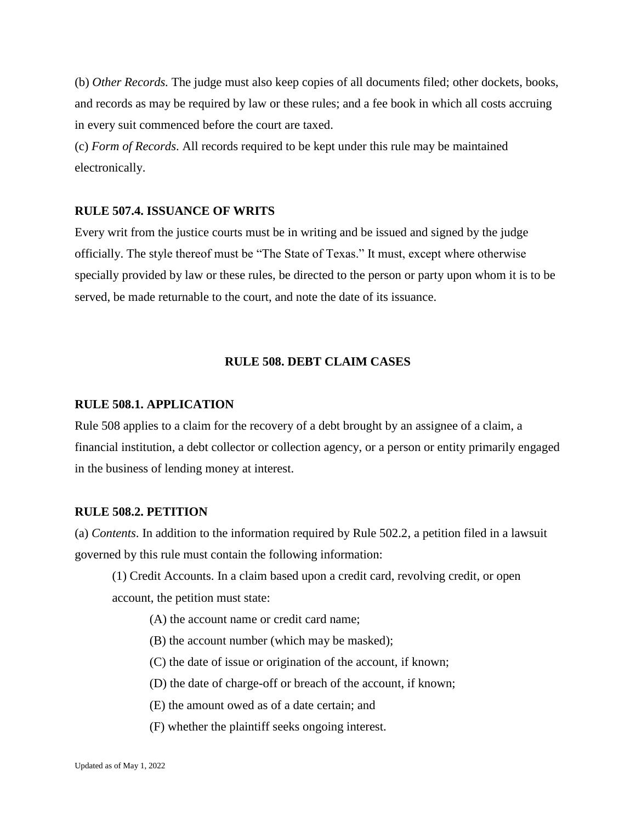(b) *Other Records.* The judge must also keep copies of all documents filed; other dockets, books, and records as may be required by law or these rules; and a fee book in which all costs accruing in every suit commenced before the court are taxed.

(c) *Form of Records*. All records required to be kept under this rule may be maintained electronically.

# **RULE 507.4. ISSUANCE OF WRITS**

Every writ from the justice courts must be in writing and be issued and signed by the judge officially. The style thereof must be "The State of Texas." It must, except where otherwise specially provided by law or these rules, be directed to the person or party upon whom it is to be served, be made returnable to the court, and note the date of its issuance.

# **RULE 508. DEBT CLAIM CASES**

#### **RULE 508.1. APPLICATION**

Rule 508 applies to a claim for the recovery of a debt brought by an assignee of a claim, a financial institution, a debt collector or collection agency, or a person or entity primarily engaged in the business of lending money at interest.

#### **RULE 508.2. PETITION**

(a) *Contents*. In addition to the information required by Rule 502.2, a petition filed in a lawsuit governed by this rule must contain the following information:

- (1) Credit Accounts. In a claim based upon a credit card, revolving credit, or open account, the petition must state:
	- (A) the account name or credit card name;
	- (B) the account number (which may be masked);
	- (C) the date of issue or origination of the account, if known;
	- (D) the date of charge-off or breach of the account, if known;
	- (E) the amount owed as of a date certain; and
	- (F) whether the plaintiff seeks ongoing interest.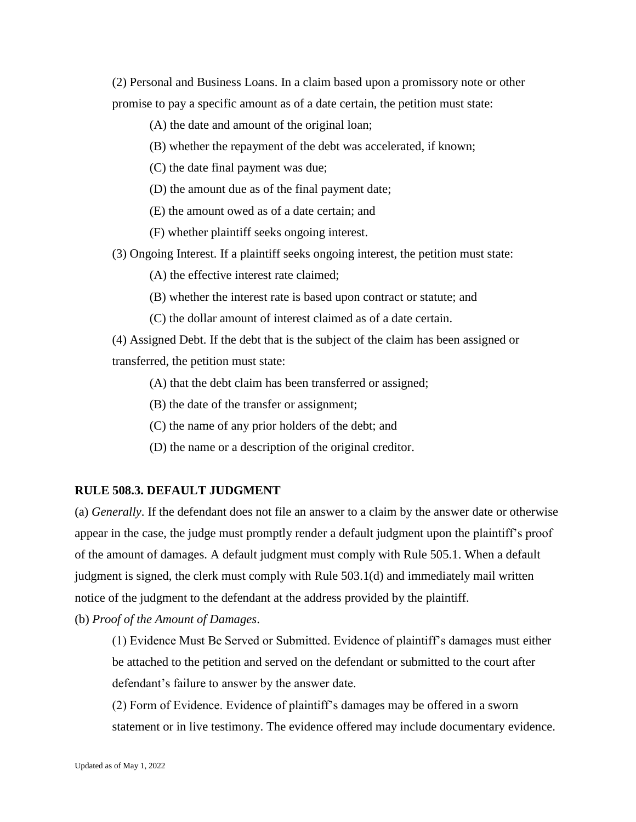(2) Personal and Business Loans. In a claim based upon a promissory note or other promise to pay a specific amount as of a date certain, the petition must state:

(A) the date and amount of the original loan;

(B) whether the repayment of the debt was accelerated, if known;

(C) the date final payment was due;

(D) the amount due as of the final payment date;

(E) the amount owed as of a date certain; and

(F) whether plaintiff seeks ongoing interest.

(3) Ongoing Interest. If a plaintiff seeks ongoing interest, the petition must state:

(A) the effective interest rate claimed;

(B) whether the interest rate is based upon contract or statute; and

(C) the dollar amount of interest claimed as of a date certain.

(4) Assigned Debt. If the debt that is the subject of the claim has been assigned or transferred, the petition must state:

(A) that the debt claim has been transferred or assigned;

(B) the date of the transfer or assignment;

(C) the name of any prior holders of the debt; and

(D) the name or a description of the original creditor.

#### **RULE 508.3. DEFAULT JUDGMENT**

(a) *Generally*. If the defendant does not file an answer to a claim by the answer date or otherwise appear in the case, the judge must promptly render a default judgment upon the plaintiff's proof of the amount of damages. A default judgment must comply with Rule 505.1. When a default judgment is signed, the clerk must comply with Rule 503.1(d) and immediately mail written notice of the judgment to the defendant at the address provided by the plaintiff.

(b) *Proof of the Amount of Damages*.

(1) Evidence Must Be Served or Submitted. Evidence of plaintiff's damages must either be attached to the petition and served on the defendant or submitted to the court after defendant's failure to answer by the answer date.

(2) Form of Evidence. Evidence of plaintiff's damages may be offered in a sworn statement or in live testimony. The evidence offered may include documentary evidence.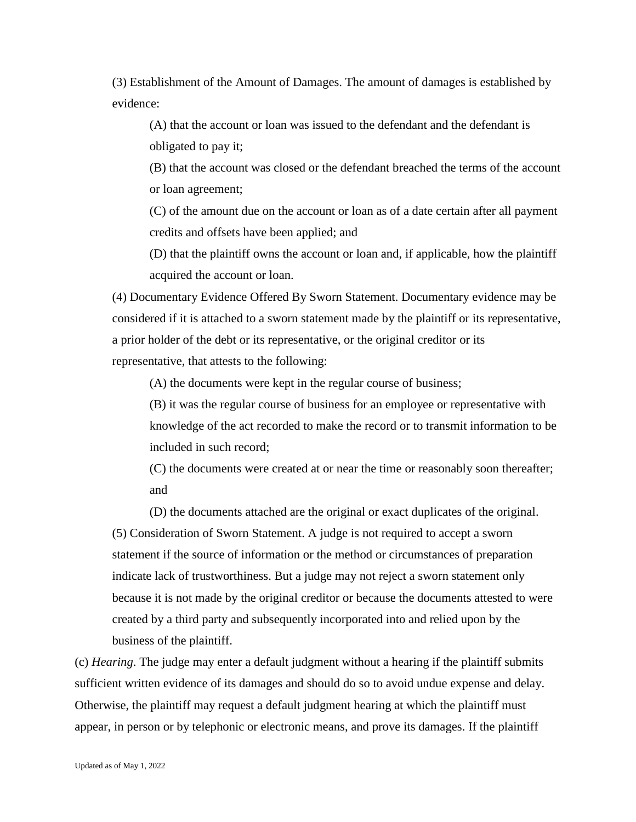(3) Establishment of the Amount of Damages. The amount of damages is established by evidence:

(A) that the account or loan was issued to the defendant and the defendant is obligated to pay it;

(B) that the account was closed or the defendant breached the terms of the account or loan agreement;

(C) of the amount due on the account or loan as of a date certain after all payment credits and offsets have been applied; and

(D) that the plaintiff owns the account or loan and, if applicable, how the plaintiff acquired the account or loan.

(4) Documentary Evidence Offered By Sworn Statement. Documentary evidence may be considered if it is attached to a sworn statement made by the plaintiff or its representative, a prior holder of the debt or its representative, or the original creditor or its representative, that attests to the following:

(A) the documents were kept in the regular course of business;

(B) it was the regular course of business for an employee or representative with knowledge of the act recorded to make the record or to transmit information to be included in such record;

(C) the documents were created at or near the time or reasonably soon thereafter; and

(D) the documents attached are the original or exact duplicates of the original. (5) Consideration of Sworn Statement. A judge is not required to accept a sworn statement if the source of information or the method or circumstances of preparation indicate lack of trustworthiness. But a judge may not reject a sworn statement only because it is not made by the original creditor or because the documents attested to were created by a third party and subsequently incorporated into and relied upon by the business of the plaintiff.

(c) *Hearing*. The judge may enter a default judgment without a hearing if the plaintiff submits sufficient written evidence of its damages and should do so to avoid undue expense and delay. Otherwise, the plaintiff may request a default judgment hearing at which the plaintiff must appear, in person or by telephonic or electronic means, and prove its damages. If the plaintiff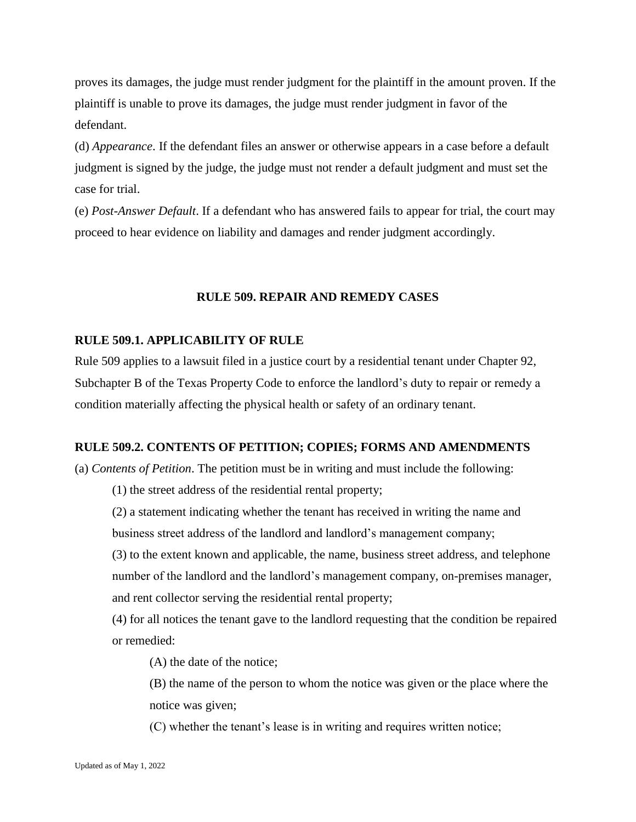proves its damages, the judge must render judgment for the plaintiff in the amount proven. If the plaintiff is unable to prove its damages, the judge must render judgment in favor of the defendant.

(d) *Appearance*. If the defendant files an answer or otherwise appears in a case before a default judgment is signed by the judge, the judge must not render a default judgment and must set the case for trial.

(e) *Post-Answer Default*. If a defendant who has answered fails to appear for trial, the court may proceed to hear evidence on liability and damages and render judgment accordingly.

## **RULE 509. REPAIR AND REMEDY CASES**

# **RULE 509.1. APPLICABILITY OF RULE**

Rule 509 applies to a lawsuit filed in a justice court by a residential tenant under Chapter 92, Subchapter B of the Texas Property Code to enforce the landlord's duty to repair or remedy a condition materially affecting the physical health or safety of an ordinary tenant.

#### **RULE 509.2. CONTENTS OF PETITION; COPIES; FORMS AND AMENDMENTS**

(a) *Contents of Petition*. The petition must be in writing and must include the following:

(1) the street address of the residential rental property;

(2) a statement indicating whether the tenant has received in writing the name and business street address of the landlord and landlord's management company;

(3) to the extent known and applicable, the name, business street address, and telephone number of the landlord and the landlord's management company, on-premises manager, and rent collector serving the residential rental property;

(4) for all notices the tenant gave to the landlord requesting that the condition be repaired or remedied:

(A) the date of the notice;

(B) the name of the person to whom the notice was given or the place where the notice was given;

(C) whether the tenant's lease is in writing and requires written notice;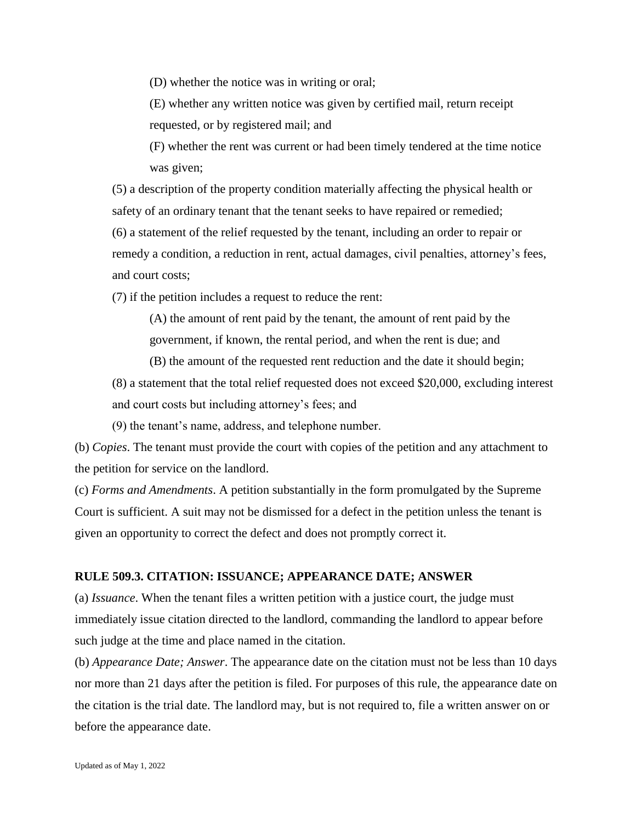(D) whether the notice was in writing or oral;

(E) whether any written notice was given by certified mail, return receipt requested, or by registered mail; and

(F) whether the rent was current or had been timely tendered at the time notice was given;

(5) a description of the property condition materially affecting the physical health or safety of an ordinary tenant that the tenant seeks to have repaired or remedied; (6) a statement of the relief requested by the tenant, including an order to repair or remedy a condition, a reduction in rent, actual damages, civil penalties, attorney's fees, and court costs;

(7) if the petition includes a request to reduce the rent:

(A) the amount of rent paid by the tenant, the amount of rent paid by the government, if known, the rental period, and when the rent is due; and

(B) the amount of the requested rent reduction and the date it should begin;

(8) a statement that the total relief requested does not exceed \$20,000, excluding interest and court costs but including attorney's fees; and

(9) the tenant's name, address, and telephone number.

(b) *Copies*. The tenant must provide the court with copies of the petition and any attachment to the petition for service on the landlord.

(c) *Forms and Amendments*. A petition substantially in the form promulgated by the Supreme Court is sufficient. A suit may not be dismissed for a defect in the petition unless the tenant is given an opportunity to correct the defect and does not promptly correct it.

### **RULE 509.3. CITATION: ISSUANCE; APPEARANCE DATE; ANSWER**

(a) *Issuance*. When the tenant files a written petition with a justice court, the judge must immediately issue citation directed to the landlord, commanding the landlord to appear before such judge at the time and place named in the citation.

(b) *Appearance Date; Answer*. The appearance date on the citation must not be less than 10 days nor more than 21 days after the petition is filed. For purposes of this rule, the appearance date on the citation is the trial date. The landlord may, but is not required to, file a written answer on or before the appearance date.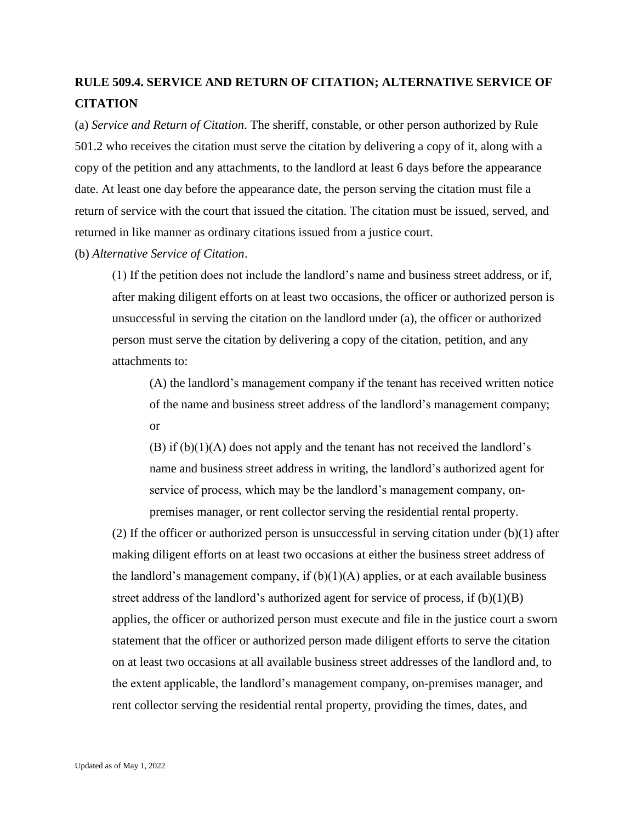# **RULE 509.4. SERVICE AND RETURN OF CITATION; ALTERNATIVE SERVICE OF CITATION**

(a) *Service and Return of Citation*. The sheriff, constable, or other person authorized by Rule 501.2 who receives the citation must serve the citation by delivering a copy of it, along with a copy of the petition and any attachments, to the landlord at least 6 days before the appearance date. At least one day before the appearance date, the person serving the citation must file a return of service with the court that issued the citation. The citation must be issued, served, and returned in like manner as ordinary citations issued from a justice court.

### (b) *Alternative Service of Citation*.

(1) If the petition does not include the landlord's name and business street address, or if, after making diligent efforts on at least two occasions, the officer or authorized person is unsuccessful in serving the citation on the landlord under (a), the officer or authorized person must serve the citation by delivering a copy of the citation, petition, and any attachments to:

(A) the landlord's management company if the tenant has received written notice of the name and business street address of the landlord's management company; or

(B) if  $(b)(1)(A)$  does not apply and the tenant has not received the landlord's name and business street address in writing, the landlord's authorized agent for service of process, which may be the landlord's management company, onpremises manager, or rent collector serving the residential rental property.

(2) If the officer or authorized person is unsuccessful in serving citation under  $(b)(1)$  after making diligent efforts on at least two occasions at either the business street address of the landlord's management company, if  $(b)(1)(A)$  applies, or at each available business street address of the landlord's authorized agent for service of process, if  $(b)(1)(B)$ applies, the officer or authorized person must execute and file in the justice court a sworn statement that the officer or authorized person made diligent efforts to serve the citation on at least two occasions at all available business street addresses of the landlord and, to the extent applicable, the landlord's management company, on-premises manager, and rent collector serving the residential rental property, providing the times, dates, and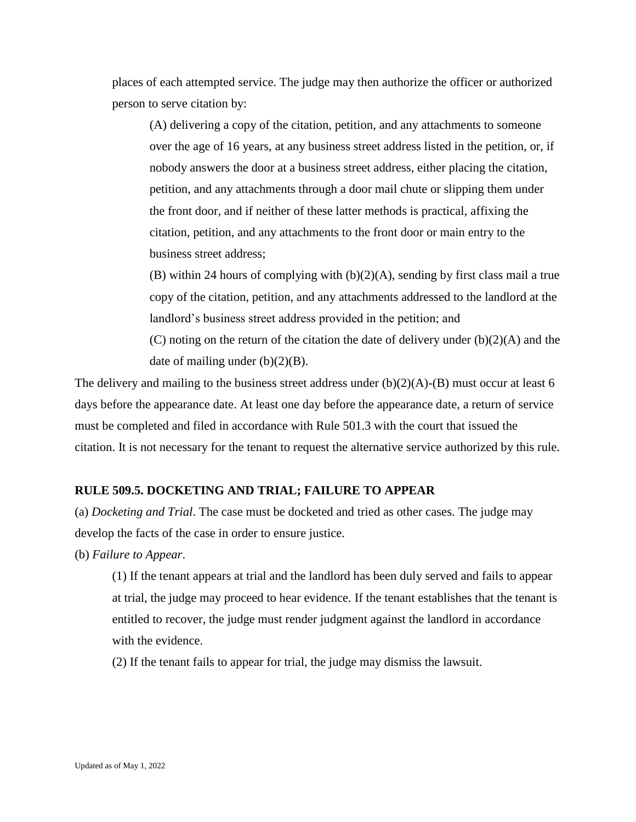places of each attempted service. The judge may then authorize the officer or authorized person to serve citation by:

(A) delivering a copy of the citation, petition, and any attachments to someone over the age of 16 years, at any business street address listed in the petition, or, if nobody answers the door at a business street address, either placing the citation, petition, and any attachments through a door mail chute or slipping them under the front door, and if neither of these latter methods is practical, affixing the citation, petition, and any attachments to the front door or main entry to the business street address;

(B) within 24 hours of complying with (b)(2)(A), sending by first class mail a true copy of the citation, petition, and any attachments addressed to the landlord at the landlord's business street address provided in the petition; and

(C) noting on the return of the citation the date of delivery under  $(b)(2)(A)$  and the date of mailing under (b)(2)(B).

The delivery and mailing to the business street address under  $(b)(2)(A)-(B)$  must occur at least 6 days before the appearance date. At least one day before the appearance date, a return of service must be completed and filed in accordance with Rule 501.3 with the court that issued the citation. It is not necessary for the tenant to request the alternative service authorized by this rule.

### **RULE 509.5. DOCKETING AND TRIAL; FAILURE TO APPEAR**

(a) *Docketing and Trial*. The case must be docketed and tried as other cases. The judge may develop the facts of the case in order to ensure justice.

(b) *Failure to Appear*.

(1) If the tenant appears at trial and the landlord has been duly served and fails to appear at trial, the judge may proceed to hear evidence. If the tenant establishes that the tenant is entitled to recover, the judge must render judgment against the landlord in accordance with the evidence.

(2) If the tenant fails to appear for trial, the judge may dismiss the lawsuit.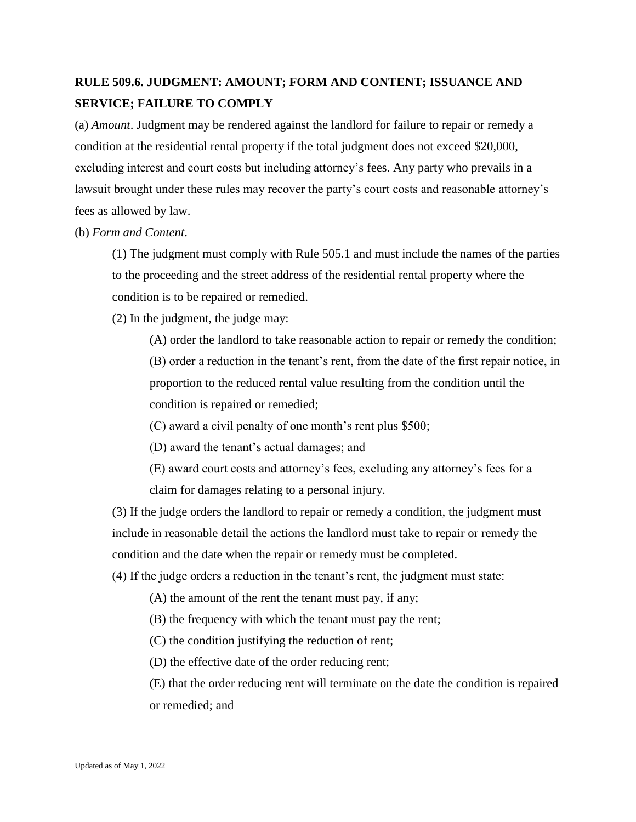# **RULE 509.6. JUDGMENT: AMOUNT; FORM AND CONTENT; ISSUANCE AND SERVICE; FAILURE TO COMPLY**

(a) *Amount*. Judgment may be rendered against the landlord for failure to repair or remedy a condition at the residential rental property if the total judgment does not exceed \$20,000, excluding interest and court costs but including attorney's fees. Any party who prevails in a lawsuit brought under these rules may recover the party's court costs and reasonable attorney's fees as allowed by law.

(b) *Form and Content*.

(1) The judgment must comply with Rule 505.1 and must include the names of the parties to the proceeding and the street address of the residential rental property where the condition is to be repaired or remedied.

(2) In the judgment, the judge may:

(A) order the landlord to take reasonable action to repair or remedy the condition; (B) order a reduction in the tenant's rent, from the date of the first repair notice, in proportion to the reduced rental value resulting from the condition until the condition is repaired or remedied;

(C) award a civil penalty of one month's rent plus \$500;

(D) award the tenant's actual damages; and

(E) award court costs and attorney's fees, excluding any attorney's fees for a claim for damages relating to a personal injury.

(3) If the judge orders the landlord to repair or remedy a condition, the judgment must include in reasonable detail the actions the landlord must take to repair or remedy the condition and the date when the repair or remedy must be completed.

(4) If the judge orders a reduction in the tenant's rent, the judgment must state:

(A) the amount of the rent the tenant must pay, if any;

(B) the frequency with which the tenant must pay the rent;

(C) the condition justifying the reduction of rent;

(D) the effective date of the order reducing rent;

(E) that the order reducing rent will terminate on the date the condition is repaired or remedied; and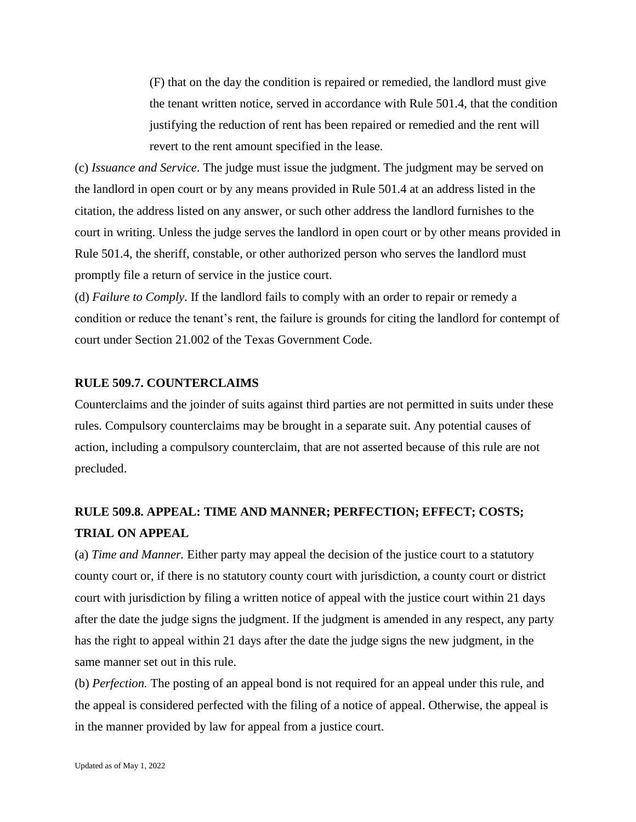(F) that on the day the condition is repaired or remedied, the landlord must give the tenant written notice, served in accordance with Rule 501.4, that the condition justifying the reduction of rent has been repaired or remedied and the rent will revert to the rent amount specified in the lease.

(c) *Issuance and Service*. The judge must issue the judgment. The judgment may be served on the landlord in open court or by any means provided in Rule 501.4 at an address listed in the citation, the address listed on any answer, or such other address the landlord furnishes to the court in writing. Unless the judge serves the landlord in open court or by other means provided in Rule 501.4, the sheriff, constable, or other authorized person who serves the landlord must promptly file a return of service in the justice court.

(d) *Failure to Comply*. If the landlord fails to comply with an order to repair or remedy a condition or reduce the tenant's rent, the failure is grounds for citing the landlord for contempt of court under Section 21.002 of the Texas Government Code.

## **RULE 509.7. COUNTERCLAIMS**

Counterclaims and the joinder of suits against third parties are not permitted in suits under these rules. Compulsory counterclaims may be brought in a separate suit. Any potential causes of action, including a compulsory counterclaim, that are not asserted because of this rule are not precluded.

# **RULE 509.8. APPEAL: TIME AND MANNER; PERFECTION; EFFECT; COSTS; TRIAL ON APPEAL**

(a) *Time and Manner.* Either party may appeal the decision of the justice court to a statutory county court or, if there is no statutory county court with jurisdiction, a county court or district court with jurisdiction by filing a written notice of appeal with the justice court within 21 days after the date the judge signs the judgment. If the judgment is amended in any respect, any party has the right to appeal within 21 days after the date the judge signs the new judgment, in the same manner set out in this rule.

(b) *Perfection.* The posting of an appeal bond is not required for an appeal under this rule, and the appeal is considered perfected with the filing of a notice of appeal. Otherwise, the appeal is in the manner provided by law for appeal from a justice court.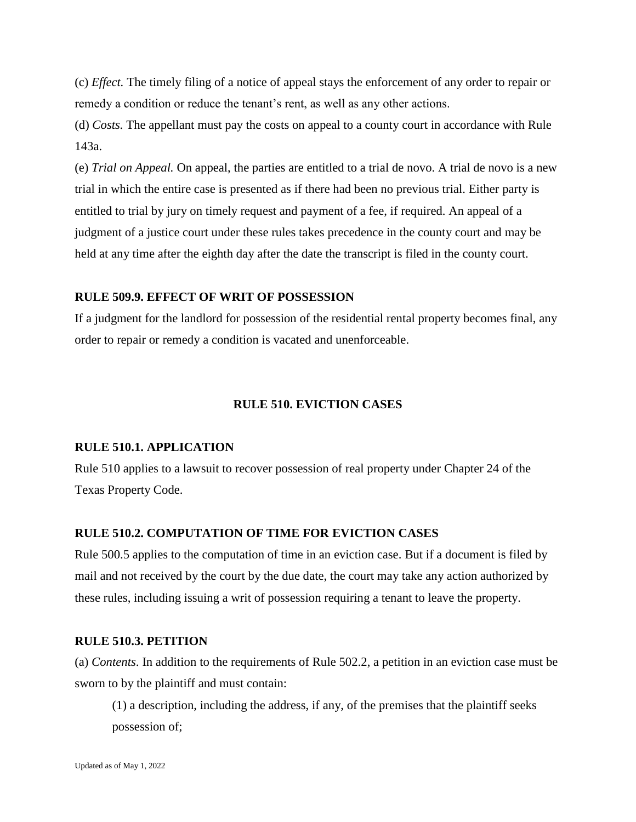(c) *Effect.* The timely filing of a notice of appeal stays the enforcement of any order to repair or remedy a condition or reduce the tenant's rent, as well as any other actions.

(d) *Costs.* The appellant must pay the costs on appeal to a county court in accordance with Rule 143a.

(e) *Trial on Appeal.* On appeal, the parties are entitled to a trial de novo. A trial de novo is a new trial in which the entire case is presented as if there had been no previous trial. Either party is entitled to trial by jury on timely request and payment of a fee, if required. An appeal of a judgment of a justice court under these rules takes precedence in the county court and may be held at any time after the eighth day after the date the transcript is filed in the county court.

## **RULE 509.9. EFFECT OF WRIT OF POSSESSION**

If a judgment for the landlord for possession of the residential rental property becomes final, any order to repair or remedy a condition is vacated and unenforceable.

### **RULE 510. EVICTION CASES**

#### **RULE 510.1. APPLICATION**

Rule 510 applies to a lawsuit to recover possession of real property under Chapter 24 of the Texas Property Code.

# **RULE 510.2. COMPUTATION OF TIME FOR EVICTION CASES**

Rule 500.5 applies to the computation of time in an eviction case. But if a document is filed by mail and not received by the court by the due date, the court may take any action authorized by these rules, including issuing a writ of possession requiring a tenant to leave the property.

#### **RULE 510.3. PETITION**

(a) *Contents*. In addition to the requirements of Rule 502.2, a petition in an eviction case must be sworn to by the plaintiff and must contain:

(1) a description, including the address, if any, of the premises that the plaintiff seeks possession of;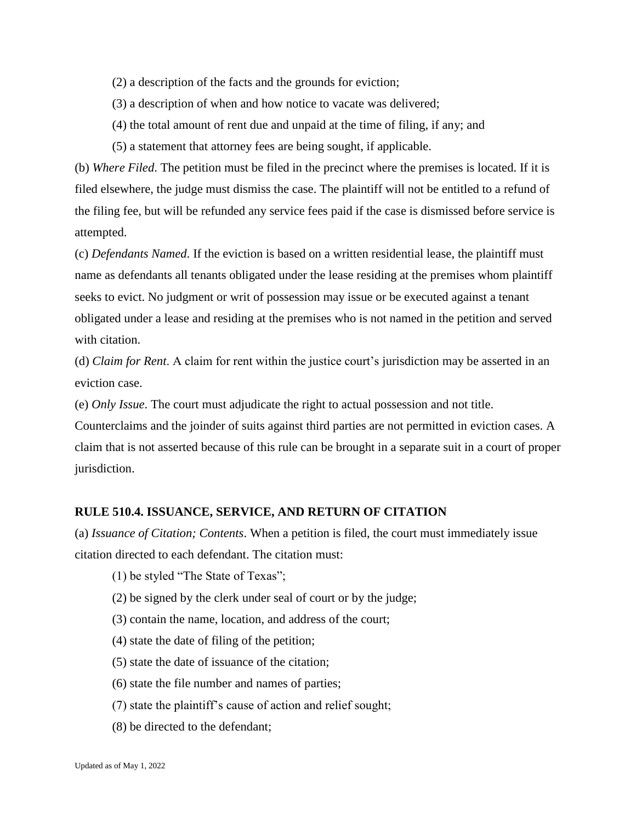- (2) a description of the facts and the grounds for eviction;
- (3) a description of when and how notice to vacate was delivered;
- (4) the total amount of rent due and unpaid at the time of filing, if any; and
- (5) a statement that attorney fees are being sought, if applicable.

(b) *Where Filed*. The petition must be filed in the precinct where the premises is located. If it is filed elsewhere, the judge must dismiss the case. The plaintiff will not be entitled to a refund of the filing fee, but will be refunded any service fees paid if the case is dismissed before service is attempted.

(c) *Defendants Named*. If the eviction is based on a written residential lease, the plaintiff must name as defendants all tenants obligated under the lease residing at the premises whom plaintiff seeks to evict. No judgment or writ of possession may issue or be executed against a tenant obligated under a lease and residing at the premises who is not named in the petition and served with citation.

(d) *Claim for Rent*. A claim for rent within the justice court's jurisdiction may be asserted in an eviction case.

(e) *Only Issue*. The court must adjudicate the right to actual possession and not title.

Counterclaims and the joinder of suits against third parties are not permitted in eviction cases. A claim that is not asserted because of this rule can be brought in a separate suit in a court of proper jurisdiction.

### **RULE 510.4. ISSUANCE, SERVICE, AND RETURN OF CITATION**

(a) *Issuance of Citation; Contents*. When a petition is filed, the court must immediately issue citation directed to each defendant. The citation must:

- (1) be styled "The State of Texas";
- (2) be signed by the clerk under seal of court or by the judge;
- (3) contain the name, location, and address of the court;
- (4) state the date of filing of the petition;
- (5) state the date of issuance of the citation;
- (6) state the file number and names of parties;
- (7) state the plaintiff's cause of action and relief sought;
- (8) be directed to the defendant;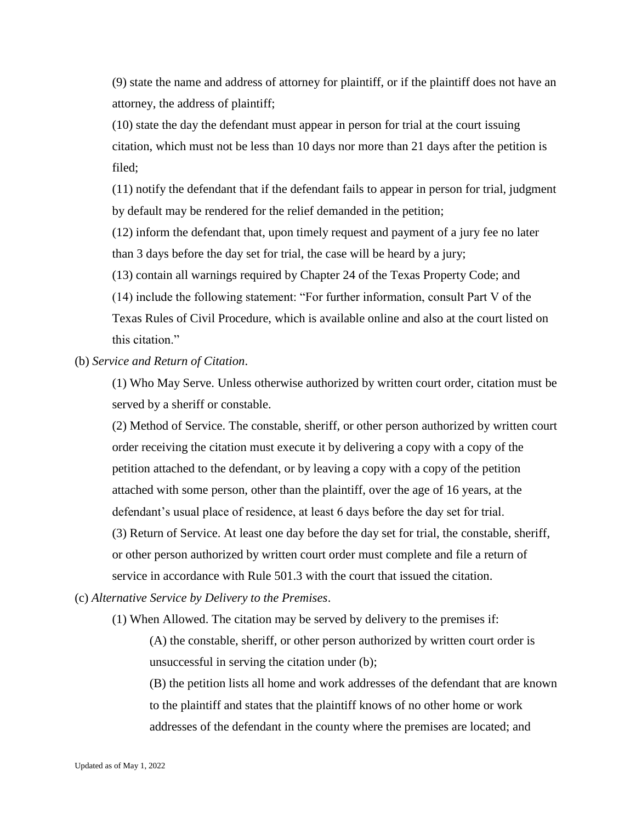(9) state the name and address of attorney for plaintiff, or if the plaintiff does not have an attorney, the address of plaintiff;

(10) state the day the defendant must appear in person for trial at the court issuing citation, which must not be less than 10 days nor more than 21 days after the petition is filed;

(11) notify the defendant that if the defendant fails to appear in person for trial, judgment by default may be rendered for the relief demanded in the petition;

(12) inform the defendant that, upon timely request and payment of a jury fee no later than 3 days before the day set for trial, the case will be heard by a jury;

(13) contain all warnings required by Chapter 24 of the Texas Property Code; and

(14) include the following statement: "For further information, consult Part V of the Texas Rules of Civil Procedure, which is available online and also at the court listed on this citation."

(b) *Service and Return of Citation*.

(1) Who May Serve. Unless otherwise authorized by written court order, citation must be served by a sheriff or constable.

(2) Method of Service. The constable, sheriff, or other person authorized by written court order receiving the citation must execute it by delivering a copy with a copy of the petition attached to the defendant, or by leaving a copy with a copy of the petition attached with some person, other than the plaintiff, over the age of 16 years, at the defendant's usual place of residence, at least 6 days before the day set for trial. (3) Return of Service. At least one day before the day set for trial, the constable, sheriff, or other person authorized by written court order must complete and file a return of service in accordance with Rule 501.3 with the court that issued the citation.

(c) *Alternative Service by Delivery to the Premises*.

(1) When Allowed. The citation may be served by delivery to the premises if:

(A) the constable, sheriff, or other person authorized by written court order is unsuccessful in serving the citation under (b);

(B) the petition lists all home and work addresses of the defendant that are known to the plaintiff and states that the plaintiff knows of no other home or work addresses of the defendant in the county where the premises are located; and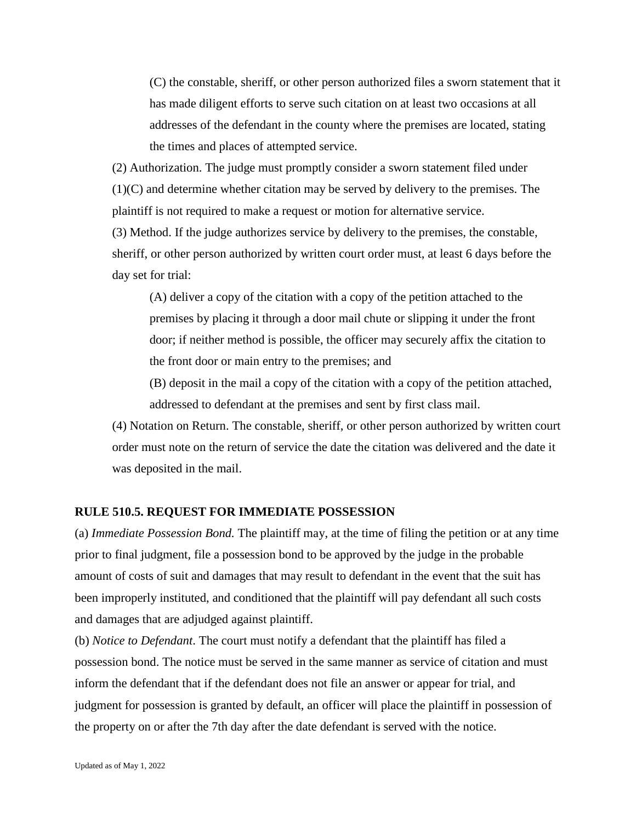(C) the constable, sheriff, or other person authorized files a sworn statement that it has made diligent efforts to serve such citation on at least two occasions at all addresses of the defendant in the county where the premises are located, stating the times and places of attempted service.

(2) Authorization. The judge must promptly consider a sworn statement filed under (1)(C) and determine whether citation may be served by delivery to the premises. The plaintiff is not required to make a request or motion for alternative service.

(3) Method. If the judge authorizes service by delivery to the premises, the constable, sheriff, or other person authorized by written court order must, at least 6 days before the day set for trial:

(A) deliver a copy of the citation with a copy of the petition attached to the premises by placing it through a door mail chute or slipping it under the front door; if neither method is possible, the officer may securely affix the citation to the front door or main entry to the premises; and

(B) deposit in the mail a copy of the citation with a copy of the petition attached, addressed to defendant at the premises and sent by first class mail.

(4) Notation on Return. The constable, sheriff, or other person authorized by written court order must note on the return of service the date the citation was delivered and the date it was deposited in the mail.

#### **RULE 510.5. REQUEST FOR IMMEDIATE POSSESSION**

(a) *Immediate Possession Bond.* The plaintiff may, at the time of filing the petition or at any time prior to final judgment, file a possession bond to be approved by the judge in the probable amount of costs of suit and damages that may result to defendant in the event that the suit has been improperly instituted, and conditioned that the plaintiff will pay defendant all such costs and damages that are adjudged against plaintiff.

(b) *Notice to Defendant*. The court must notify a defendant that the plaintiff has filed a possession bond. The notice must be served in the same manner as service of citation and must inform the defendant that if the defendant does not file an answer or appear for trial, and judgment for possession is granted by default, an officer will place the plaintiff in possession of the property on or after the 7th day after the date defendant is served with the notice.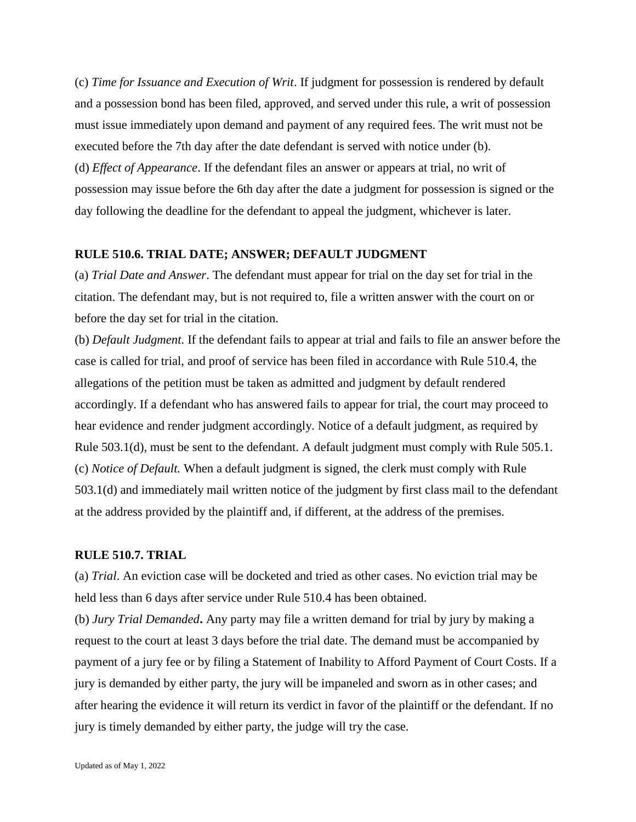(c) *Time for Issuance and Execution of Writ*. If judgment for possession is rendered by default and a possession bond has been filed, approved, and served under this rule, a writ of possession must issue immediately upon demand and payment of any required fees. The writ must not be executed before the 7th day after the date defendant is served with notice under (b). (d) *Effect of Appearance*. If the defendant files an answer or appears at trial, no writ of possession may issue before the 6th day after the date a judgment for possession is signed or the day following the deadline for the defendant to appeal the judgment, whichever is later.

#### **RULE 510.6. TRIAL DATE; ANSWER; DEFAULT JUDGMENT**

(a) *Trial Date and Answer*. The defendant must appear for trial on the day set for trial in the citation. The defendant may, but is not required to, file a written answer with the court on or before the day set for trial in the citation.

(b) *Default Judgment*. If the defendant fails to appear at trial and fails to file an answer before the case is called for trial, and proof of service has been filed in accordance with Rule 510.4, the allegations of the petition must be taken as admitted and judgment by default rendered accordingly. If a defendant who has answered fails to appear for trial, the court may proceed to hear evidence and render judgment accordingly. Notice of a default judgment, as required by Rule 503.1(d), must be sent to the defendant. A default judgment must comply with Rule 505.1. (c) *Notice of Default.* When a default judgment is signed, the clerk must comply with Rule 503.1(d) and immediately mail written notice of the judgment by first class mail to the defendant at the address provided by the plaintiff and, if different, at the address of the premises.

#### **RULE 510.7. TRIAL**

(a) *Trial*. An eviction case will be docketed and tried as other cases. No eviction trial may be held less than 6 days after service under Rule 510.4 has been obtained.

(b) *Jury Trial Demanded***.** Any party may file a written demand for trial by jury by making a request to the court at least 3 days before the trial date. The demand must be accompanied by payment of a jury fee or by filing a Statement of Inability to Afford Payment of Court Costs. If a jury is demanded by either party, the jury will be impaneled and sworn as in other cases; and after hearing the evidence it will return its verdict in favor of the plaintiff or the defendant. If no jury is timely demanded by either party, the judge will try the case.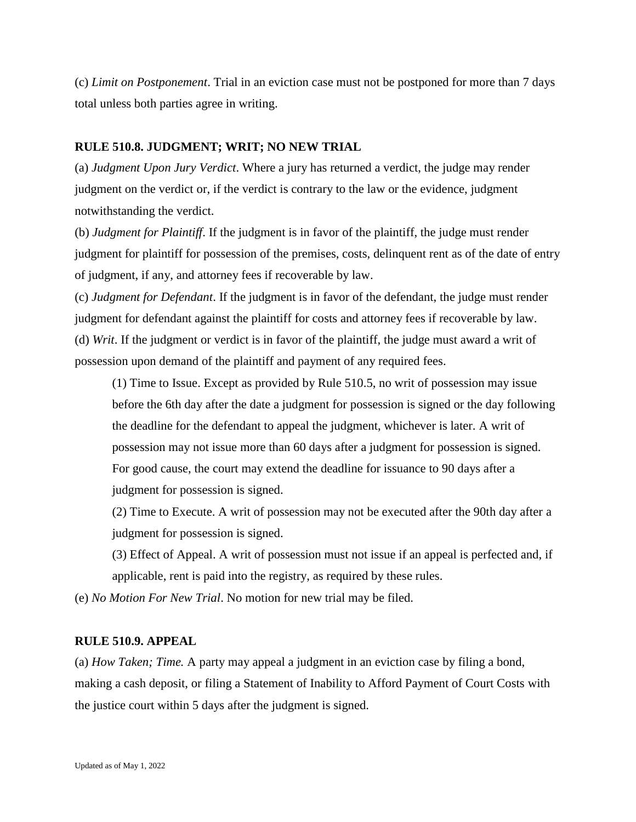(c) *Limit on Postponement*. Trial in an eviction case must not be postponed for more than 7 days total unless both parties agree in writing.

## **RULE 510.8. JUDGMENT; WRIT; NO NEW TRIAL**

(a) *Judgment Upon Jury Verdict*. Where a jury has returned a verdict, the judge may render judgment on the verdict or, if the verdict is contrary to the law or the evidence, judgment notwithstanding the verdict.

(b) *Judgment for Plaintiff*. If the judgment is in favor of the plaintiff, the judge must render judgment for plaintiff for possession of the premises, costs, delinquent rent as of the date of entry of judgment, if any, and attorney fees if recoverable by law.

(c) *Judgment for Defendant*. If the judgment is in favor of the defendant, the judge must render judgment for defendant against the plaintiff for costs and attorney fees if recoverable by law. (d) *Writ*. If the judgment or verdict is in favor of the plaintiff, the judge must award a writ of possession upon demand of the plaintiff and payment of any required fees.

(1) Time to Issue. Except as provided by Rule 510.5, no writ of possession may issue before the 6th day after the date a judgment for possession is signed or the day following the deadline for the defendant to appeal the judgment, whichever is later. A writ of possession may not issue more than 60 days after a judgment for possession is signed. For good cause, the court may extend the deadline for issuance to 90 days after a judgment for possession is signed.

(2) Time to Execute. A writ of possession may not be executed after the 90th day after a judgment for possession is signed.

(3) Effect of Appeal. A writ of possession must not issue if an appeal is perfected and, if applicable, rent is paid into the registry, as required by these rules.

(e) *No Motion For New Trial*. No motion for new trial may be filed.

# **RULE 510.9. APPEAL**

(a) *How Taken; Time.* A party may appeal a judgment in an eviction case by filing a bond, making a cash deposit, or filing a Statement of Inability to Afford Payment of Court Costs with the justice court within 5 days after the judgment is signed.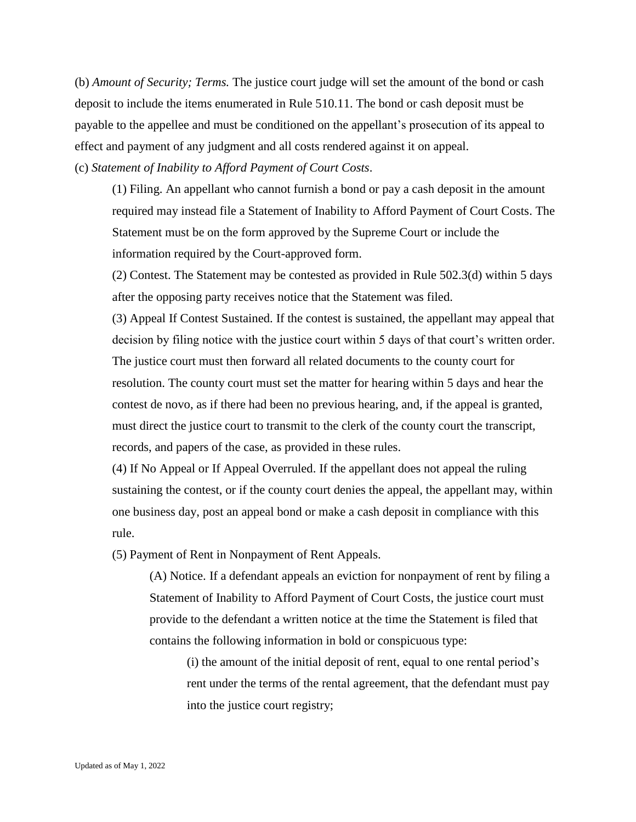(b) *Amount of Security; Terms.* The justice court judge will set the amount of the bond or cash deposit to include the items enumerated in Rule 510.11. The bond or cash deposit must be payable to the appellee and must be conditioned on the appellant's prosecution of its appeal to effect and payment of any judgment and all costs rendered against it on appeal.

(c) *Statement of Inability to Afford Payment of Court Costs*.

(1) Filing. An appellant who cannot furnish a bond or pay a cash deposit in the amount required may instead file a Statement of Inability to Afford Payment of Court Costs. The Statement must be on the form approved by the Supreme Court or include the information required by the Court-approved form.

(2) Contest. The Statement may be contested as provided in Rule 502.3(d) within 5 days after the opposing party receives notice that the Statement was filed.

(3) Appeal If Contest Sustained. If the contest is sustained, the appellant may appeal that decision by filing notice with the justice court within 5 days of that court's written order. The justice court must then forward all related documents to the county court for resolution. The county court must set the matter for hearing within 5 days and hear the contest de novo, as if there had been no previous hearing, and, if the appeal is granted, must direct the justice court to transmit to the clerk of the county court the transcript, records, and papers of the case, as provided in these rules.

(4) If No Appeal or If Appeal Overruled. If the appellant does not appeal the ruling sustaining the contest, or if the county court denies the appeal, the appellant may, within one business day, post an appeal bond or make a cash deposit in compliance with this rule.

(5) Payment of Rent in Nonpayment of Rent Appeals.

(A) Notice. If a defendant appeals an eviction for nonpayment of rent by filing a Statement of Inability to Afford Payment of Court Costs, the justice court must provide to the defendant a written notice at the time the Statement is filed that contains the following information in bold or conspicuous type:

(i) the amount of the initial deposit of rent, equal to one rental period's rent under the terms of the rental agreement, that the defendant must pay into the justice court registry;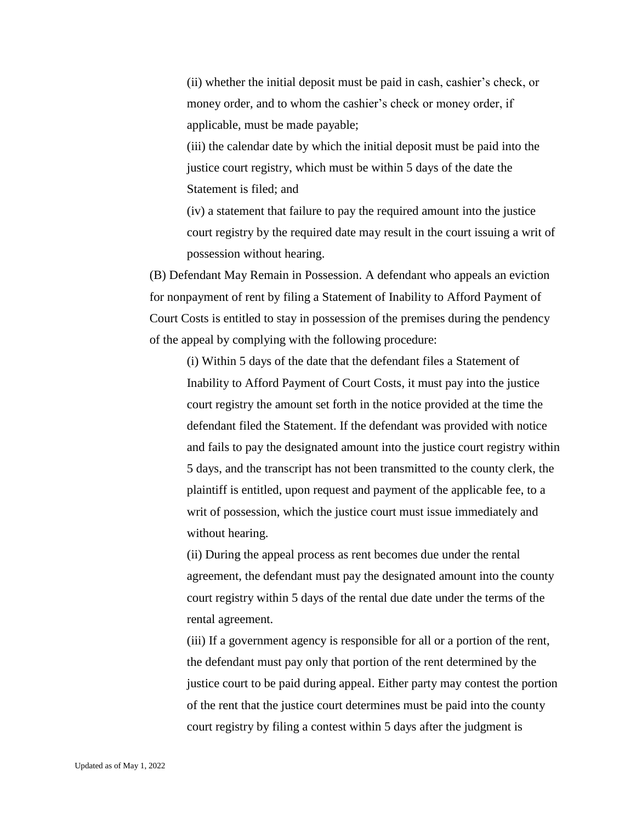(ii) whether the initial deposit must be paid in cash, cashier's check, or money order, and to whom the cashier's check or money order, if applicable, must be made payable;

(iii) the calendar date by which the initial deposit must be paid into the justice court registry, which must be within 5 days of the date the Statement is filed; and

(iv) a statement that failure to pay the required amount into the justice court registry by the required date may result in the court issuing a writ of possession without hearing.

(B) Defendant May Remain in Possession. A defendant who appeals an eviction for nonpayment of rent by filing a Statement of Inability to Afford Payment of Court Costs is entitled to stay in possession of the premises during the pendency of the appeal by complying with the following procedure:

(i) Within 5 days of the date that the defendant files a Statement of Inability to Afford Payment of Court Costs, it must pay into the justice court registry the amount set forth in the notice provided at the time the defendant filed the Statement. If the defendant was provided with notice and fails to pay the designated amount into the justice court registry within 5 days, and the transcript has not been transmitted to the county clerk, the plaintiff is entitled, upon request and payment of the applicable fee, to a writ of possession, which the justice court must issue immediately and without hearing.

(ii) During the appeal process as rent becomes due under the rental agreement, the defendant must pay the designated amount into the county court registry within 5 days of the rental due date under the terms of the rental agreement.

(iii) If a government agency is responsible for all or a portion of the rent, the defendant must pay only that portion of the rent determined by the justice court to be paid during appeal. Either party may contest the portion of the rent that the justice court determines must be paid into the county court registry by filing a contest within 5 days after the judgment is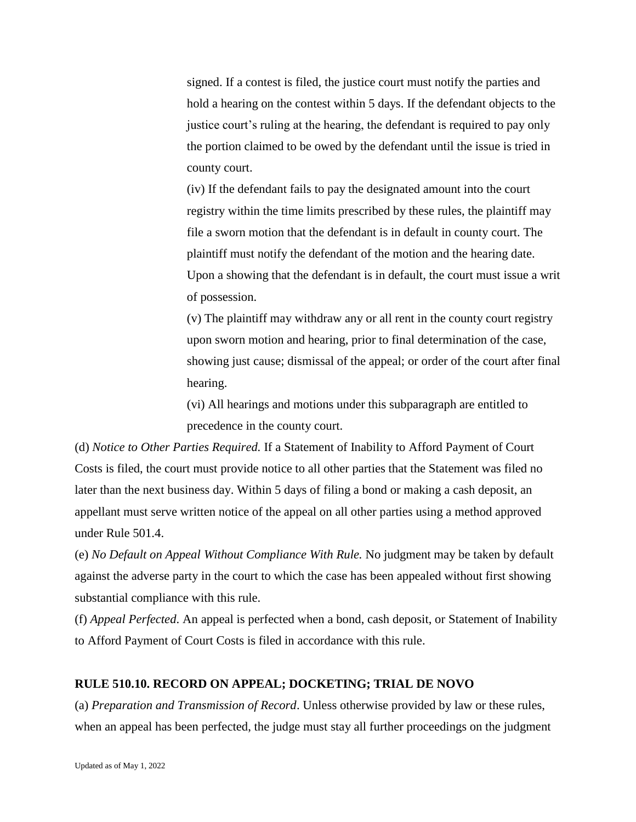signed. If a contest is filed, the justice court must notify the parties and hold a hearing on the contest within 5 days. If the defendant objects to the justice court's ruling at the hearing, the defendant is required to pay only the portion claimed to be owed by the defendant until the issue is tried in county court.

(iv) If the defendant fails to pay the designated amount into the court registry within the time limits prescribed by these rules, the plaintiff may file a sworn motion that the defendant is in default in county court. The plaintiff must notify the defendant of the motion and the hearing date. Upon a showing that the defendant is in default, the court must issue a writ of possession.

(v) The plaintiff may withdraw any or all rent in the county court registry upon sworn motion and hearing, prior to final determination of the case, showing just cause; dismissal of the appeal; or order of the court after final hearing.

(vi) All hearings and motions under this subparagraph are entitled to precedence in the county court.

(d) *Notice to Other Parties Required.* If a Statement of Inability to Afford Payment of Court Costs is filed, the court must provide notice to all other parties that the Statement was filed no later than the next business day. Within 5 days of filing a bond or making a cash deposit, an appellant must serve written notice of the appeal on all other parties using a method approved under Rule 501.4.

(e) *No Default on Appeal Without Compliance With Rule.* No judgment may be taken by default against the adverse party in the court to which the case has been appealed without first showing substantial compliance with this rule.

(f) *Appeal Perfected*. An appeal is perfected when a bond, cash deposit, or Statement of Inability to Afford Payment of Court Costs is filed in accordance with this rule.

### **RULE 510.10. RECORD ON APPEAL; DOCKETING; TRIAL DE NOVO**

(a) *Preparation and Transmission of Record*. Unless otherwise provided by law or these rules, when an appeal has been perfected, the judge must stay all further proceedings on the judgment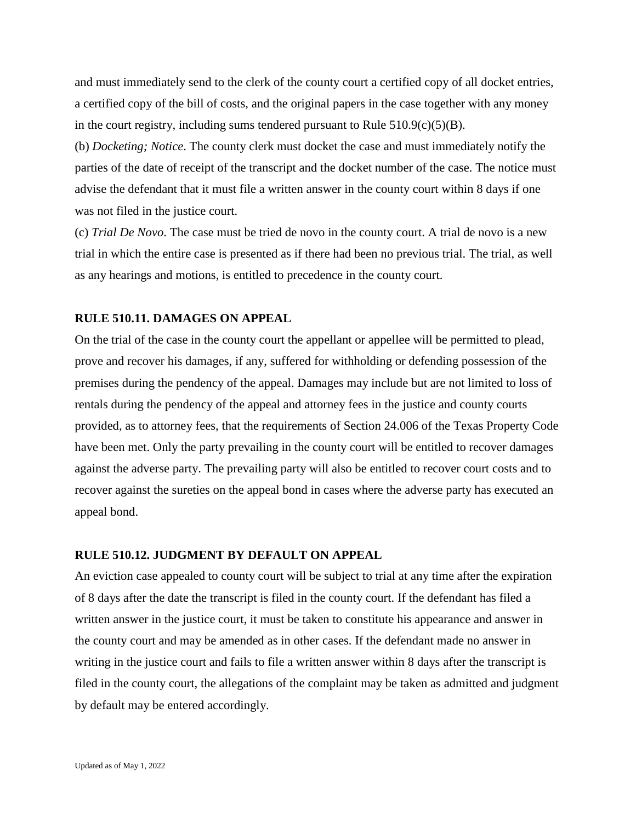and must immediately send to the clerk of the county court a certified copy of all docket entries, a certified copy of the bill of costs, and the original papers in the case together with any money in the court registry, including sums tendered pursuant to Rule  $510.9(c)(5)(B)$ .

(b) *Docketing; Notice*. The county clerk must docket the case and must immediately notify the parties of the date of receipt of the transcript and the docket number of the case. The notice must advise the defendant that it must file a written answer in the county court within 8 days if one was not filed in the justice court.

(c) *Trial De Novo*. The case must be tried de novo in the county court. A trial de novo is a new trial in which the entire case is presented as if there had been no previous trial. The trial, as well as any hearings and motions, is entitled to precedence in the county court.

### **RULE 510.11. DAMAGES ON APPEAL**

On the trial of the case in the county court the appellant or appellee will be permitted to plead, prove and recover his damages, if any, suffered for withholding or defending possession of the premises during the pendency of the appeal. Damages may include but are not limited to loss of rentals during the pendency of the appeal and attorney fees in the justice and county courts provided, as to attorney fees, that the requirements of Section 24.006 of the Texas Property Code have been met. Only the party prevailing in the county court will be entitled to recover damages against the adverse party. The prevailing party will also be entitled to recover court costs and to recover against the sureties on the appeal bond in cases where the adverse party has executed an appeal bond.

# **RULE 510.12. JUDGMENT BY DEFAULT ON APPEAL**

An eviction case appealed to county court will be subject to trial at any time after the expiration of 8 days after the date the transcript is filed in the county court. If the defendant has filed a written answer in the justice court, it must be taken to constitute his appearance and answer in the county court and may be amended as in other cases. If the defendant made no answer in writing in the justice court and fails to file a written answer within 8 days after the transcript is filed in the county court, the allegations of the complaint may be taken as admitted and judgment by default may be entered accordingly.